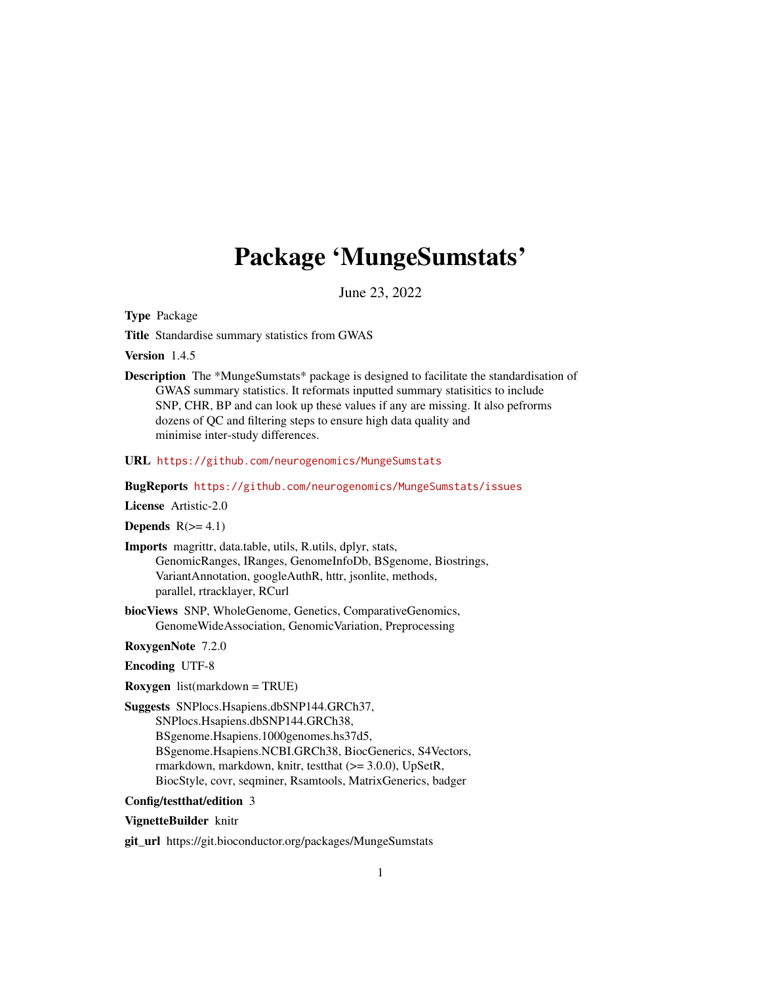# Package 'MungeSumstats'

June 23, 2022

<span id="page-0-0"></span>Type Package

Title Standardise summary statistics from GWAS

Version 1.4.5

Description The \*MungeSumstats\* package is designed to facilitate the standardisation of GWAS summary statistics. It reformats inputted summary statisitics to include SNP, CHR, BP and can look up these values if any are missing. It also pefrorms dozens of QC and filtering steps to ensure high data quality and minimise inter-study differences.

URL <https://github.com/neurogenomics/MungeSumstats>

BugReports <https://github.com/neurogenomics/MungeSumstats/issues>

License Artistic-2.0

Depends  $R(>= 4.1)$ 

- Imports magrittr, data.table, utils, R.utils, dplyr, stats, GenomicRanges, IRanges, GenomeInfoDb, BSgenome, Biostrings, VariantAnnotation, googleAuthR, httr, jsonlite, methods, parallel, rtracklayer, RCurl
- biocViews SNP, WholeGenome, Genetics, ComparativeGenomics, GenomeWideAssociation, GenomicVariation, Preprocessing

RoxygenNote 7.2.0

Encoding UTF-8

Roxygen list(markdown = TRUE)

Suggests SNPlocs.Hsapiens.dbSNP144.GRCh37, SNPlocs.Hsapiens.dbSNP144.GRCh38, BSgenome.Hsapiens.1000genomes.hs37d5, BSgenome.Hsapiens.NCBI.GRCh38, BiocGenerics, S4Vectors, rmarkdown, markdown, knitr, testthat (>= 3.0.0), UpSetR, BiocStyle, covr, seqminer, Rsamtools, MatrixGenerics, badger

## Config/testthat/edition 3

## VignetteBuilder knitr

git\_url https://git.bioconductor.org/packages/MungeSumstats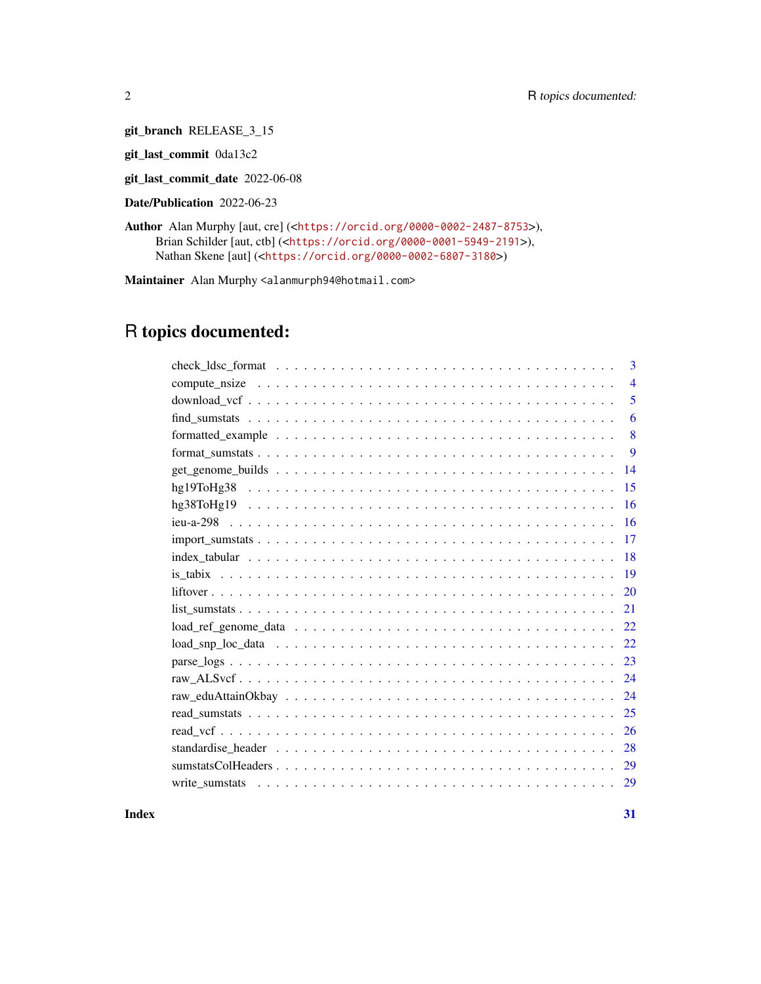git\_branch RELEASE\_3\_15

git\_last\_commit 0da13c2

git\_last\_commit\_date 2022-06-08

Date/Publication 2022-06-23

Author Alan Murphy [aut, cre] (<<https://orcid.org/0000-0002-2487-8753>>), Brian Schilder [aut, ctb] (<<https://orcid.org/0000-0001-5949-2191>>), Nathan Skene [aut] (<<https://orcid.org/0000-0002-6807-3180>>)

Maintainer Alan Murphy <alanmurph94@hotmail.com>

## R topics documented:

**Index** [31](#page-30-0)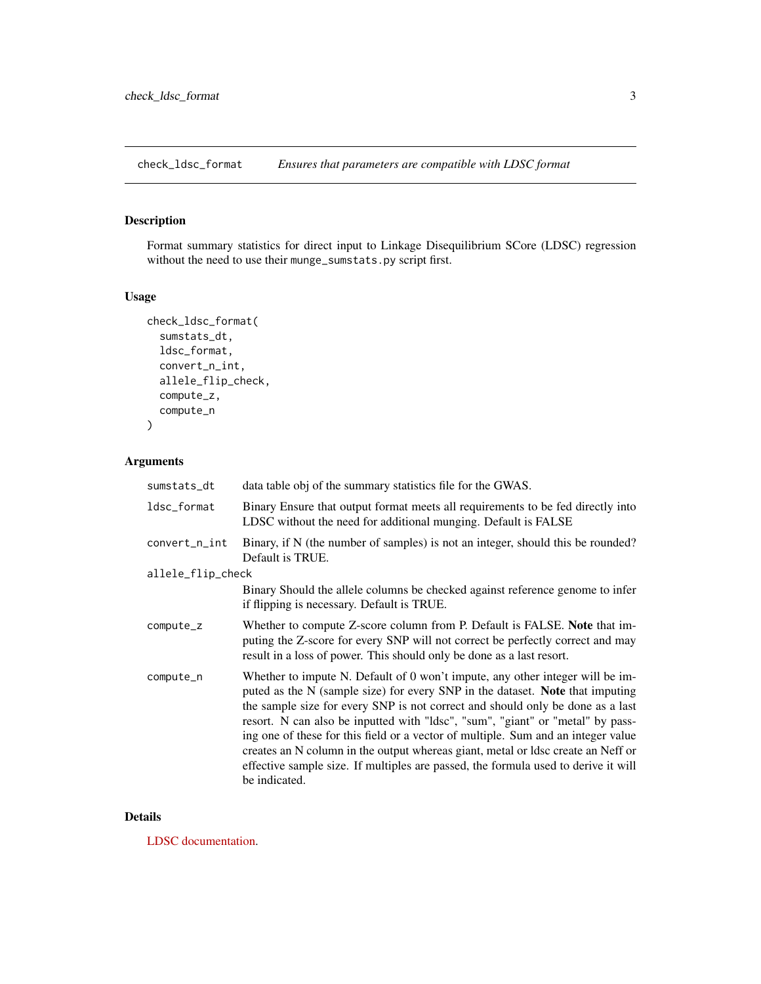<span id="page-2-0"></span>check\_ldsc\_format *Ensures that parameters are compatible with LDSC format*

## Description

Format summary statistics for direct input to Linkage Disequilibrium SCore (LDSC) regression without the need to use their munge\_sumstats.py script first.

#### Usage

```
check_ldsc_format(
  sumstats_dt,
  ldsc_format,
  convert_n_int,
  allele_flip_check,
  compute_z,
  compute_n
\mathcal{L}
```
## Arguments

| sumstats_dt       | data table obj of the summary statistics file for the GWAS.                                                                                                                                                                                                                                                                                                                                                                                                                                                                                                                                                        |
|-------------------|--------------------------------------------------------------------------------------------------------------------------------------------------------------------------------------------------------------------------------------------------------------------------------------------------------------------------------------------------------------------------------------------------------------------------------------------------------------------------------------------------------------------------------------------------------------------------------------------------------------------|
| ldsc_format       | Binary Ensure that output format meets all requirements to be fed directly into<br>LDSC without the need for additional munging. Default is FALSE                                                                                                                                                                                                                                                                                                                                                                                                                                                                  |
| convert_n_int     | Binary, if N (the number of samples) is not an integer, should this be rounded?<br>Default is TRUE.                                                                                                                                                                                                                                                                                                                                                                                                                                                                                                                |
| allele_flip_check |                                                                                                                                                                                                                                                                                                                                                                                                                                                                                                                                                                                                                    |
|                   | Binary Should the allele columns be checked against reference genome to infer<br>if flipping is necessary. Default is TRUE.                                                                                                                                                                                                                                                                                                                                                                                                                                                                                        |
| compute_z         | Whether to compute Z-score column from P. Default is FALSE. Note that im-<br>puting the Z-score for every SNP will not correct be perfectly correct and may<br>result in a loss of power. This should only be done as a last resort.                                                                                                                                                                                                                                                                                                                                                                               |
| compute_n         | Whether to impute N. Default of 0 won't impute, any other integer will be im-<br>puted as the N (sample size) for every SNP in the dataset. Note that imputing<br>the sample size for every SNP is not correct and should only be done as a last<br>resort. N can also be inputted with "ldsc", "sum", "giant" or "metal" by pass-<br>ing one of these for this field or a vector of multiple. Sum and an integer value<br>creates an N column in the output whereas giant, metal or ldsc create an Neff or<br>effective sample size. If multiples are passed, the formula used to derive it will<br>be indicated. |

#### Details

[LDSC documentation.](https://github.com/bulik/ldsc/wiki/Summary-Statistics-File-Format)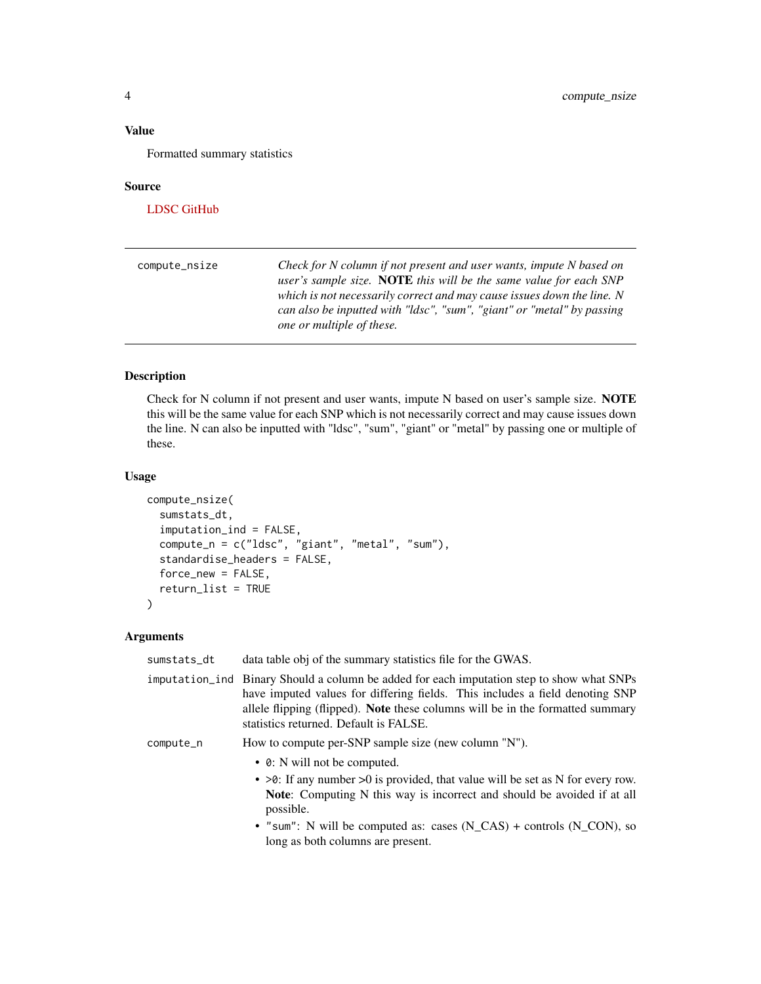## <span id="page-3-0"></span>Value

Formatted summary statistics

#### Source

[LDSC GitHub](https://github.com/bulik/ldsc)

| compute_nsize | Check for N column if not present and user wants, impute N based on<br>user's sample size. <b>NOTE</b> this will be the same value for each SNP<br>which is not necessarily correct and may cause issues down the line. N<br>can also be inputted with "ldsc", "sum", "giant" or "metal" by passing<br>one or multiple of these. |
|---------------|----------------------------------------------------------------------------------------------------------------------------------------------------------------------------------------------------------------------------------------------------------------------------------------------------------------------------------|
|               |                                                                                                                                                                                                                                                                                                                                  |

## Description

Check for N column if not present and user wants, impute N based on user's sample size. NOTE this will be the same value for each SNP which is not necessarily correct and may cause issues down the line. N can also be inputted with "ldsc", "sum", "giant" or "metal" by passing one or multiple of these.

## Usage

```
compute_nsize(
  sumstats_dt,
  imputation_ind = FALSE,
  compute_n = c("ldsc", "giant", "metal", "sum"),
  standardise_headers = FALSE,
  force_new = FALSE,
  return_list = TRUE
)
```

| sumstats_dt | data table obj of the summary statistics file for the GWAS.                                                                                                                                                                                                                                           |
|-------------|-------------------------------------------------------------------------------------------------------------------------------------------------------------------------------------------------------------------------------------------------------------------------------------------------------|
|             | imputation_ind Binary Should a column be added for each imputation step to show what SNPs<br>have imputed values for differing fields. This includes a field denoting SNP<br>allele flipping (flipped). Note these columns will be in the formatted summary<br>statistics returned. Default is FALSE. |
| compute_n   | How to compute per-SNP sample size (new column "N").                                                                                                                                                                                                                                                  |
|             | • 0: N will not be computed.                                                                                                                                                                                                                                                                          |
|             | $\bullet$ >0: If any number >0 is provided, that value will be set as N for every row.<br>Note: Computing N this way is incorrect and should be avoided if at all<br>possible.                                                                                                                        |
|             | • "sum": N will be computed as: cases $(N_CAS)$ + controls $(N_CON)$ , so<br>long as both columns are present.                                                                                                                                                                                        |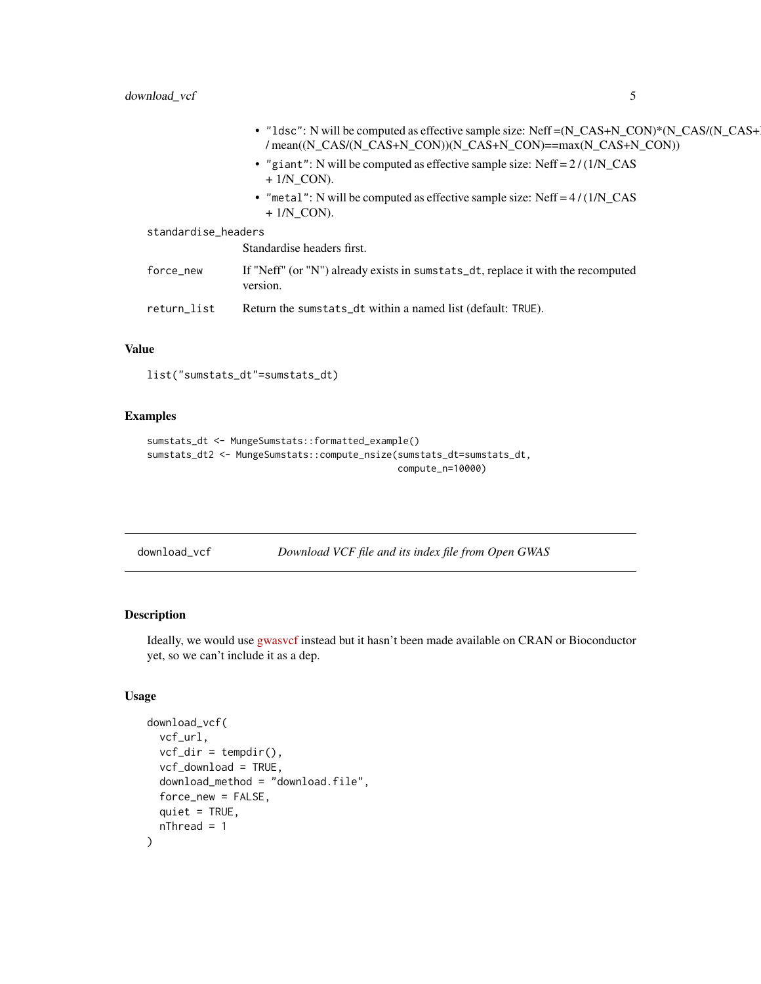<span id="page-4-0"></span>

|                     | • "1dsc": N will be computed as effective sample size: $Neff = (N_CAS+N_CON)*N_CAS/(N_CAS+1)$<br>/ mean((N_CAS/(N_CAS+N_CON))(N_CAS+N_CON)==max(N_CAS+N_CON)) |
|---------------------|---------------------------------------------------------------------------------------------------------------------------------------------------------------|
|                     | • "giant": N will be computed as effective sample size: $Neff = 2/(1/N_{\rm c}CAS)$<br>$+1/N$ CON).                                                           |
|                     | • "metal": N will be computed as effective sample size: Neff = $4/(1/N_{\text{S}})/N_{\text{S}}$<br>$+1/N$ CON).                                              |
| standardise_headers |                                                                                                                                                               |
|                     | Standardise headers first.                                                                                                                                    |
| force_new           | If "Neff" (or "N") already exists in sumstats_dt, replace it with the recomputed<br>version.                                                                  |
| return_list         | Return the sumstats_dt within a named list (default: TRUE).                                                                                                   |
|                     |                                                                                                                                                               |

## Value

list("sumstats\_dt"=sumstats\_dt)

## Examples

```
sumstats_dt <- MungeSumstats::formatted_example()
sumstats_dt2 <- MungeSumstats::compute_nsize(sumstats_dt=sumstats_dt,
                                             compute_n=10000)
```
download\_vcf *Download VCF file and its index file from Open GWAS*

## Description

Ideally, we would use [gwasvcf](https://github.com/MRCIEU/gwasvcf) instead but it hasn't been made available on CRAN or Bioconductor yet, so we can't include it as a dep.

```
download_vcf(
 vcf_url,
  vcf\_dir = tempdir(),vcf_download = TRUE,
  download_method = "download.file",
  force_new = FALSE,
  quiet = TRUE,nThread = 1
)
```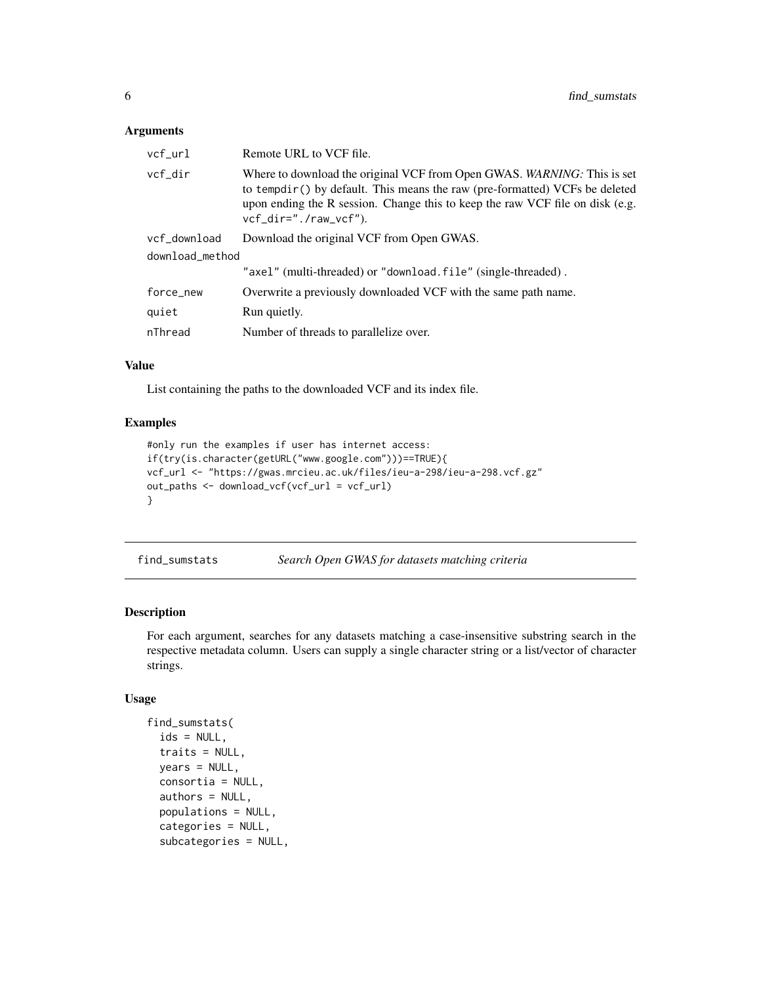#### <span id="page-5-0"></span>Arguments

| vcf_url         | Remote URL to VCF file.                                                                                                                                                                                                                                            |
|-----------------|--------------------------------------------------------------------------------------------------------------------------------------------------------------------------------------------------------------------------------------------------------------------|
| vcf_dir         | Where to download the original VCF from Open GWAS. WARNING: This is set<br>to tempdir() by default. This means the raw (pre-formatted) VCFs be deleted<br>upon ending the R session. Change this to keep the raw VCF file on disk (e.g.<br>$vcf_dir="./raw_vcf").$ |
| vcf_download    | Download the original VCF from Open GWAS.                                                                                                                                                                                                                          |
| download_method |                                                                                                                                                                                                                                                                    |
|                 | "axel" (multi-threaded) or "download.file" (single-threaded).                                                                                                                                                                                                      |
| force_new       | Overwrite a previously downloaded VCF with the same path name.                                                                                                                                                                                                     |
| quiet           | Run quietly.                                                                                                                                                                                                                                                       |
| nThread         | Number of threads to parallelize over.                                                                                                                                                                                                                             |

#### Value

List containing the paths to the downloaded VCF and its index file.

## Examples

```
#only run the examples if user has internet access:
if(try(is.character(getURL("www.google.com")))==TRUE){
vcf_url <- "https://gwas.mrcieu.ac.uk/files/ieu-a-298/ieu-a-298.vcf.gz"
out_paths <- download_vcf(vcf_url = vcf_url)
}
```

| find_sumstats |  | Search Open GWAS for datasets matching criteria |  |  |
|---------------|--|-------------------------------------------------|--|--|
|---------------|--|-------------------------------------------------|--|--|

## Description

For each argument, searches for any datasets matching a case-insensitive substring search in the respective metadata column. Users can supply a single character string or a list/vector of character strings.

```
find_sumstats(
  ids = NULL,traits = NULL,
 years = NULL,
 consortia = NULL,
  authors = NULL,populations = NULL,
  categories = NULL,
  subcategories = NULL,
```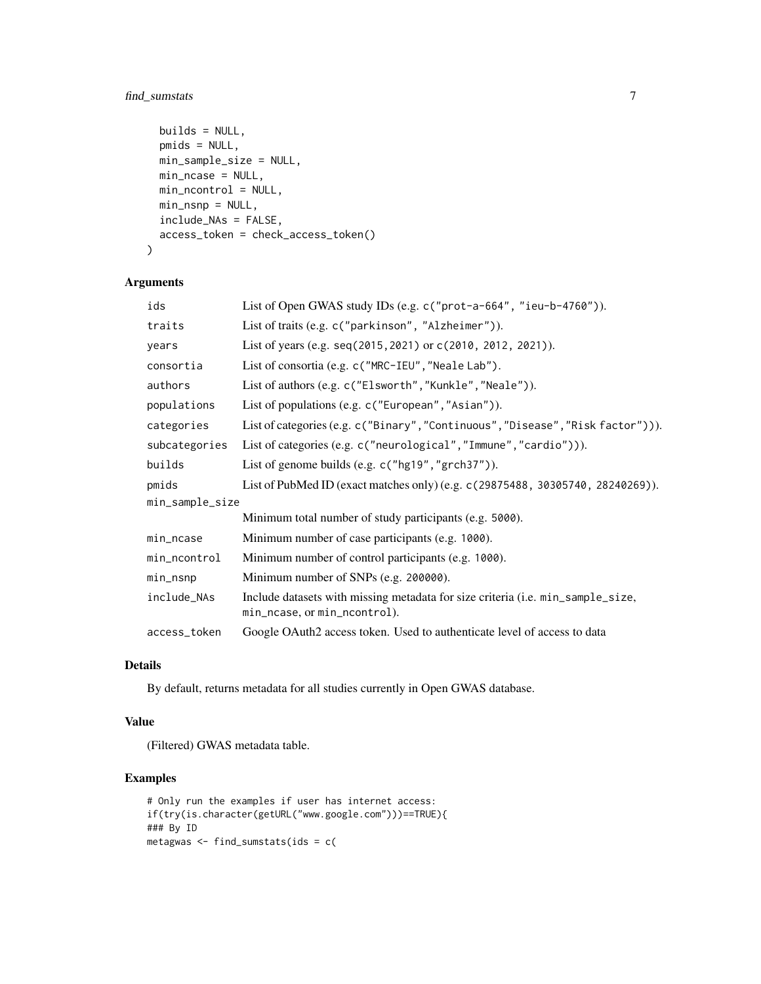## find\_sumstats 7

```
builds = NULL,
 pmids = NULL,
 min_sample_size = NULL,
 min_ncase = NULL,
 min_ncontrol = NULL,
 min_nsnp = NULL,
 include_NAs = FALSE,
 access_token = check_access_token()
)
```
## Arguments

| ids             | List of Open GWAS study IDs (e.g. c("prot-a-664", "ieu-b-4760")).                                               |  |
|-----------------|-----------------------------------------------------------------------------------------------------------------|--|
| traits          | List of traits (e.g. c("parkinson", "Alzheimer")).                                                              |  |
| years           | List of years (e.g. seq(2015, 2021) or c(2010, 2012, 2021)).                                                    |  |
| consortia       | List of consortia (e.g. c ("MRC-IEU", "Neale Lab").                                                             |  |
| authors         | List of authors (e.g. c("Elsworth", "Kunkle", "Neale")).                                                        |  |
| populations     | List of populations (e.g. c("European", "Asian")).                                                              |  |
| categories      | List of categories (e.g. c("Binary", "Continuous", "Disease", "Risk factor"))).                                 |  |
| subcategories   | List of categories (e.g. c("neurological", "Immune", "cardio"))).                                               |  |
| builds          | List of genome builds (e.g. $c("hg19", "grch37").$ ).                                                           |  |
| pmids           | List of PubMed ID (exact matches only) (e.g. c (29875488, 30305740, 28240269)).                                 |  |
| min_sample_size |                                                                                                                 |  |
|                 | Minimum total number of study participants (e.g. 5000).                                                         |  |
| min_ncase       | Minimum number of case participants (e.g. 1000).                                                                |  |
| min_ncontrol    | Minimum number of control participants (e.g. 1000).                                                             |  |
| min_nsnp        | Minimum number of SNPs (e.g. 200000).                                                                           |  |
| include_NAs     | Include datasets with missing metadata for size criteria (i.e. min_sample_size,<br>min_ncase, or min_ncontrol). |  |
| access_token    | Google OAuth2 access token. Used to authenticate level of access to data                                        |  |

## Details

By default, returns metadata for all studies currently in Open GWAS database.

## Value

(Filtered) GWAS metadata table.

```
# Only run the examples if user has internet access:
if(try(is.character(getURL("www.google.com")))==TRUE){
### By ID
metagwas <- find_sumstats(ids = c(
```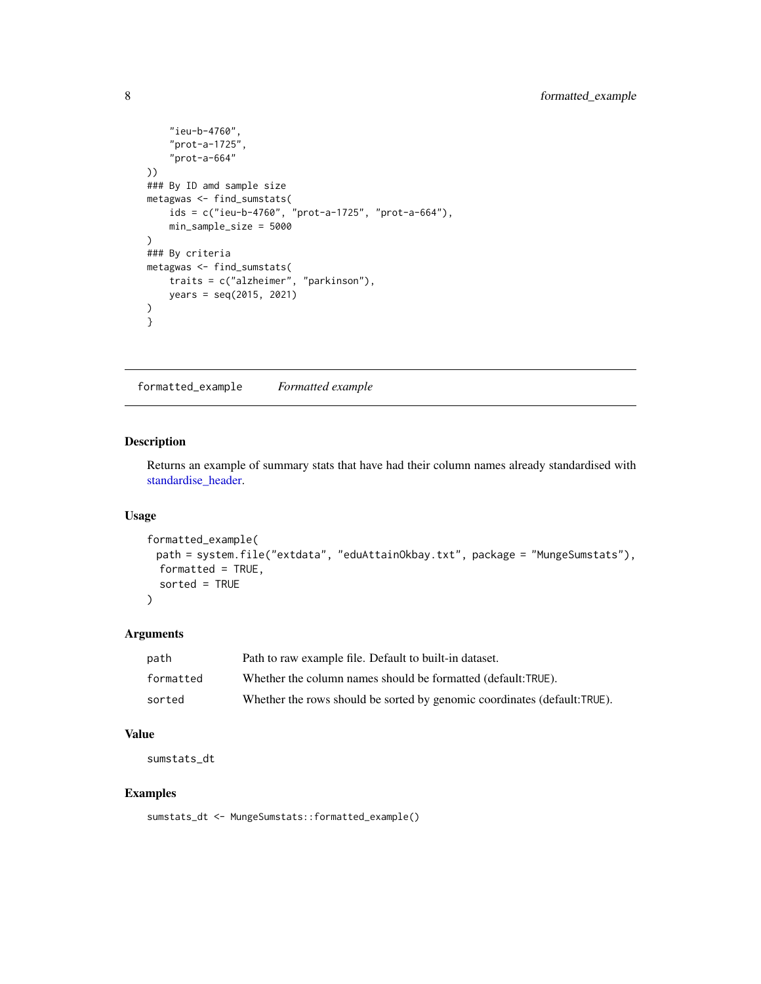```
"ieu-b-4760",
    "prot-a-1725",
    "prot-a-664"
))
### By ID amd sample size
metagwas <- find_sumstats(
    ids = c("ieu-b-4760", "prot-a-1725", "prot-a-664"),
    min_sample_size = 5000
\lambda### By criteria
metagwas <- find_sumstats(
    traits = c("alzheimer", "parkinson"),
    years = seq(2015, 2021)
)
}
```
formatted\_example *Formatted example*

## Description

Returns an example of summary stats that have had their column names already standardised with [standardise\\_header.](#page-27-1)

## Usage

```
formatted_example(
 path = system.file("extdata", "eduAttainOkbay.txt", package = "MungeSumstats"),
 formatted = TRUE,
  sorted = TRUE
)
```
## Arguments

| path      | Path to raw example file. Default to built-in dataset.                   |
|-----------|--------------------------------------------------------------------------|
| formatted | Whether the column names should be formatted (default:TRUE).             |
| sorted    | Whether the rows should be sorted by genomic coordinates (default:TRUE). |

#### Value

sumstats\_dt

## Examples

sumstats\_dt <- MungeSumstats::formatted\_example()

<span id="page-7-0"></span>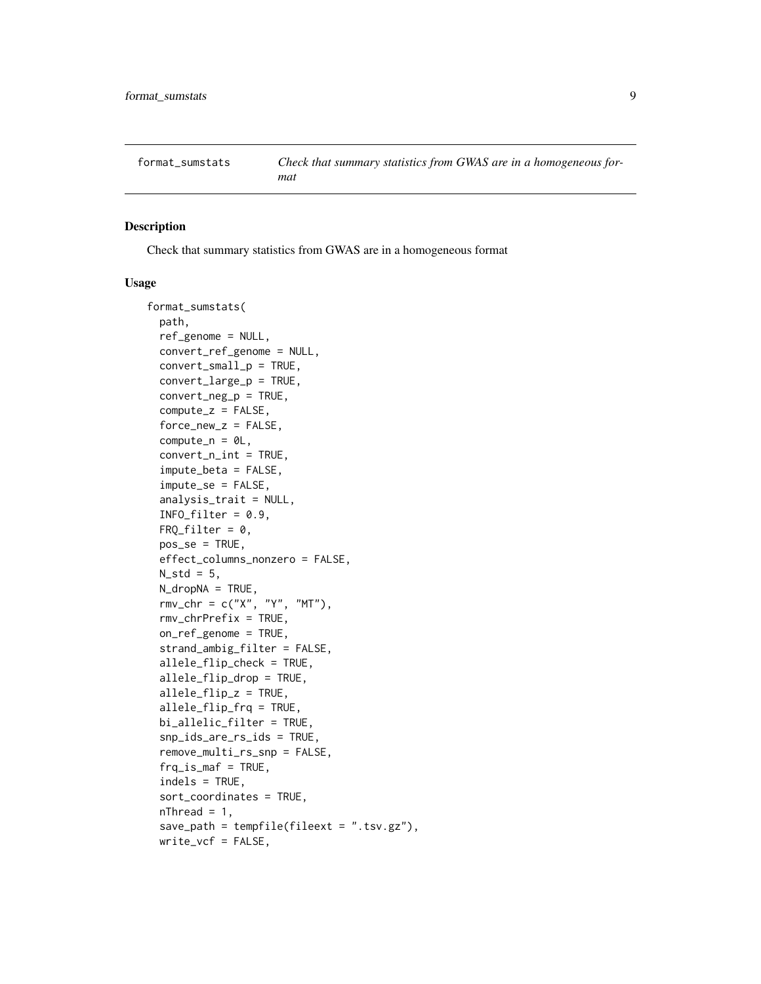<span id="page-8-1"></span><span id="page-8-0"></span>

## Description

Check that summary statistics from GWAS are in a homogeneous format

```
format_sumstats(
  path,
  ref_genome = NULL,
  convert_ref_genome = NULL,
  convert_small_p = TRUE,
  convert_large_p = TRUE,
  convert_neg_p = TRUE,
  compute_z = FALSE,force_new_z = FALSE,
  compute\_n = 0L,convert_n(int = TRUE,impute_beta = FALSE,
  impute_se = FALSE,
  analysis_trait = NULL,
  INFO_fitter = 0.9,
  FRQ_filter = 0,
  pos_se = TRUE,
  effect_columns_nonzero = FALSE,
 N_{std} = 5,
 N_dropNA = TRUE,
  rmv_chr = c("X", "Y", "MT"),
  rmv_chrPrefix = TRUE,
  on_ref_genome = TRUE,
  strand_ambig_filter = FALSE,
  allele_flip_check = TRUE,
  allele_flip_drop = TRUE,
  allele_flip_z = TRUE,
  allele_flip_frq = TRUE,
 bi_allelic_filter = TRUE,
  snp_ids_are_rs_ids = TRUE,
  remove_multi_rs_snp = FALSE,
  frq_is_maf = TRUE,indels = TRUE,
  sort_coordinates = TRUE,
  nThread = 1,
  save_path = tempfile(fileext = ".tsv.gz"),
 write_vcf = FALSE,
```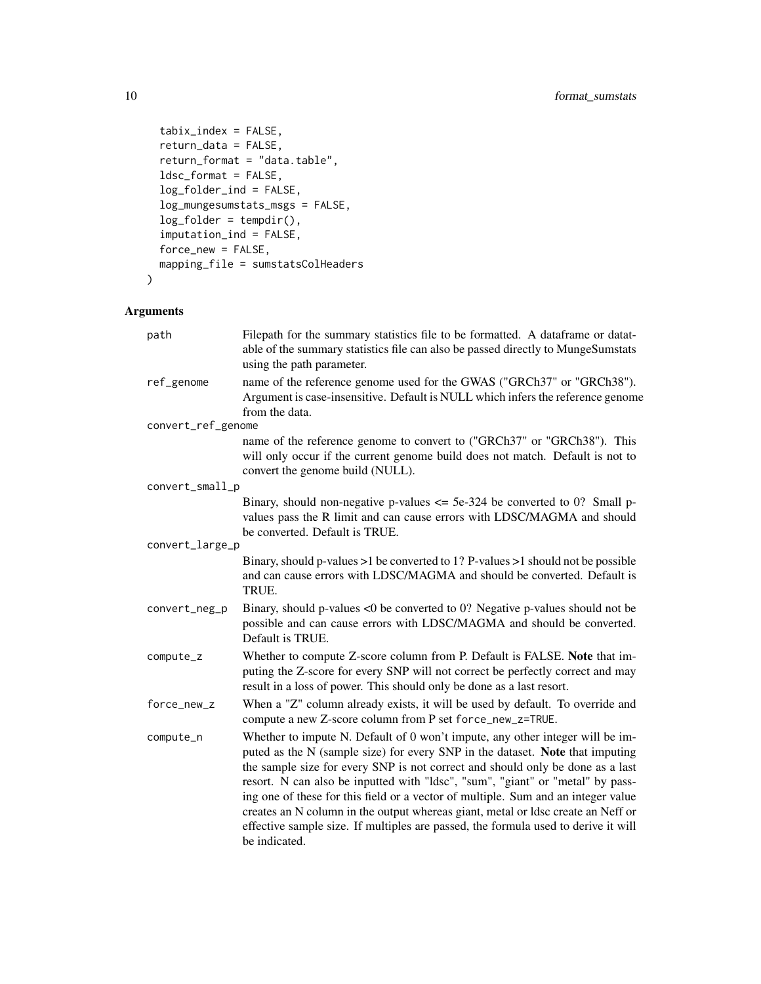```
tabix_index = FALSE,
  return_data = FALSE,
  return_format = "data.table",
  ldsc_format = FALSE,
  log_folder_ind = FALSE,
  log_mungesumstats_msgs = FALSE,
  log_folder = tempdir(),
  imputation_ind = FALSE,
  force_new = FALSE,
 mapping_file = sumstatsColHeaders
\mathcal{L}
```

| path               | Filepath for the summary statistics file to be formatted. A dataframe or datat-<br>able of the summary statistics file can also be passed directly to MungeSumstats<br>using the path parameter.                                                                                                                                                                                                                                                                                                                                                                                                                   |
|--------------------|--------------------------------------------------------------------------------------------------------------------------------------------------------------------------------------------------------------------------------------------------------------------------------------------------------------------------------------------------------------------------------------------------------------------------------------------------------------------------------------------------------------------------------------------------------------------------------------------------------------------|
| ref_genome         | name of the reference genome used for the GWAS ("GRCh37" or "GRCh38").<br>Argument is case-insensitive. Default is NULL which infers the reference genome<br>from the data.                                                                                                                                                                                                                                                                                                                                                                                                                                        |
| convert_ref_genome |                                                                                                                                                                                                                                                                                                                                                                                                                                                                                                                                                                                                                    |
|                    | name of the reference genome to convert to ("GRCh37" or "GRCh38"). This<br>will only occur if the current genome build does not match. Default is not to<br>convert the genome build (NULL).                                                                                                                                                                                                                                                                                                                                                                                                                       |
| convert_small_p    |                                                                                                                                                                                                                                                                                                                                                                                                                                                                                                                                                                                                                    |
|                    | Binary, should non-negative p-values $\le$ 5e-324 be converted to 0? Small p-<br>values pass the R limit and can cause errors with LDSC/MAGMA and should<br>be converted. Default is TRUE.                                                                                                                                                                                                                                                                                                                                                                                                                         |
| convert_large_p    |                                                                                                                                                                                                                                                                                                                                                                                                                                                                                                                                                                                                                    |
|                    | Binary, should p-values $>1$ be converted to 1? P-values $>1$ should not be possible<br>and can cause errors with LDSC/MAGMA and should be converted. Default is<br>TRUE.                                                                                                                                                                                                                                                                                                                                                                                                                                          |
| convert_neg_p      | Binary, should p-values $\langle 0 \rangle$ be converted to 0? Negative p-values should not be<br>possible and can cause errors with LDSC/MAGMA and should be converted.<br>Default is TRUE.                                                                                                                                                                                                                                                                                                                                                                                                                       |
| compute_z          | Whether to compute Z-score column from P. Default is FALSE. Note that im-<br>puting the Z-score for every SNP will not correct be perfectly correct and may<br>result in a loss of power. This should only be done as a last resort.                                                                                                                                                                                                                                                                                                                                                                               |
| force_new_z        | When a "Z" column already exists, it will be used by default. To override and<br>compute a new Z-score column from P set force_new_z=TRUE.                                                                                                                                                                                                                                                                                                                                                                                                                                                                         |
| compute_n          | Whether to impute N. Default of 0 won't impute, any other integer will be im-<br>puted as the N (sample size) for every SNP in the dataset. Note that imputing<br>the sample size for every SNP is not correct and should only be done as a last<br>resort. N can also be inputted with "ldsc", "sum", "giant" or "metal" by pass-<br>ing one of these for this field or a vector of multiple. Sum and an integer value<br>creates an N column in the output whereas giant, metal or ldsc create an Neff or<br>effective sample size. If multiples are passed, the formula used to derive it will<br>be indicated. |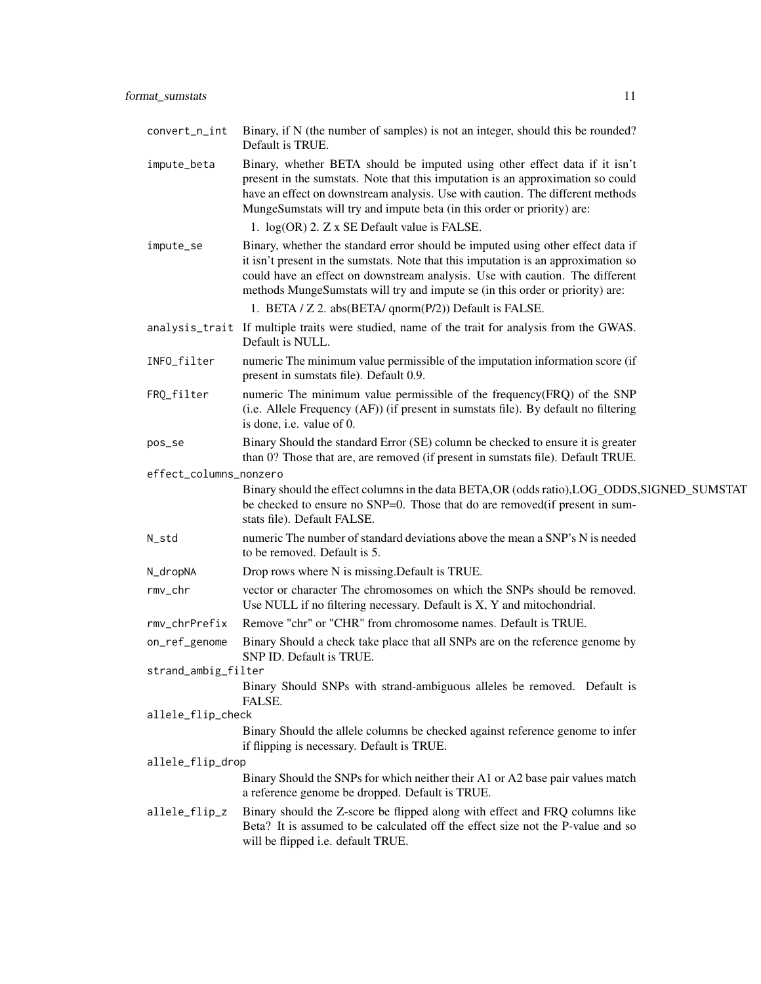| convert_n_int          | Binary, if N (the number of samples) is not an integer, should this be rounded?<br>Default is TRUE.                                                                                                                                                                                                                                    |
|------------------------|----------------------------------------------------------------------------------------------------------------------------------------------------------------------------------------------------------------------------------------------------------------------------------------------------------------------------------------|
| impute_beta            | Binary, whether BETA should be imputed using other effect data if it isn't<br>present in the sumstats. Note that this imputation is an approximation so could<br>have an effect on downstream analysis. Use with caution. The different methods<br>MungeSumstats will try and impute beta (in this order or priority) are:             |
|                        | 1. log(OR) 2. Z x SE Default value is FALSE.                                                                                                                                                                                                                                                                                           |
| impute_se              | Binary, whether the standard error should be imputed using other effect data if<br>it isn't present in the sumstats. Note that this imputation is an approximation so<br>could have an effect on downstream analysis. Use with caution. The different<br>methods MungeSumstats will try and impute se (in this order or priority) are: |
|                        | 1. BETA / Z 2. abs(BETA/ qnorm(P/2)) Default is FALSE.                                                                                                                                                                                                                                                                                 |
|                        | analysis_trait If multiple traits were studied, name of the trait for analysis from the GWAS.<br>Default is NULL.                                                                                                                                                                                                                      |
| INFO_filter            | numeric The minimum value permissible of the imputation information score (if<br>present in sumstats file). Default 0.9.                                                                                                                                                                                                               |
| FRQ_filter             | numeric The minimum value permissible of the frequency (FRQ) of the SNP<br>(i.e. Allele Frequency (AF)) (if present in sumstats file). By default no filtering<br>is done, i.e. value of 0.                                                                                                                                            |
| pos_se                 | Binary Should the standard Error (SE) column be checked to ensure it is greater<br>than 0? Those that are, are removed (if present in sumstats file). Default TRUE.                                                                                                                                                                    |
| effect_columns_nonzero |                                                                                                                                                                                                                                                                                                                                        |
|                        | Binary should the effect columns in the data BETA, OR (odds ratio), LOG_ODDS, SIGNED_SUMSTAT<br>be checked to ensure no SNP=0. Those that do are removed (if present in sum-<br>stats file). Default FALSE.                                                                                                                            |
| N_std                  | numeric The number of standard deviations above the mean a SNP's N is needed<br>to be removed. Default is 5.                                                                                                                                                                                                                           |
| N_dropNA               | Drop rows where N is missing. Default is TRUE.                                                                                                                                                                                                                                                                                         |
| rmv_chr                | vector or character The chromosomes on which the SNPs should be removed.<br>Use NULL if no filtering necessary. Default is X, Y and mitochondrial.                                                                                                                                                                                     |
| rmv_chrPrefix          | Remove "chr" or "CHR" from chromosome names. Default is TRUE.                                                                                                                                                                                                                                                                          |
| on_ref_genome          | Binary Should a check take place that all SNPs are on the reference genome by<br>SNP ID. Default is TRUE.                                                                                                                                                                                                                              |
| strand_ambig_filter    |                                                                                                                                                                                                                                                                                                                                        |
|                        | Binary Should SNPs with strand-ambiguous alleles be removed. Default is<br>FALSE.                                                                                                                                                                                                                                                      |
| allele_flip_check      | Binary Should the allele columns be checked against reference genome to infer                                                                                                                                                                                                                                                          |
|                        | if flipping is necessary. Default is TRUE.                                                                                                                                                                                                                                                                                             |
| allele_flip_drop       | Binary Should the SNPs for which neither their A1 or A2 base pair values match                                                                                                                                                                                                                                                         |
|                        | a reference genome be dropped. Default is TRUE.                                                                                                                                                                                                                                                                                        |
| allele_flip_z          | Binary should the Z-score be flipped along with effect and FRQ columns like                                                                                                                                                                                                                                                            |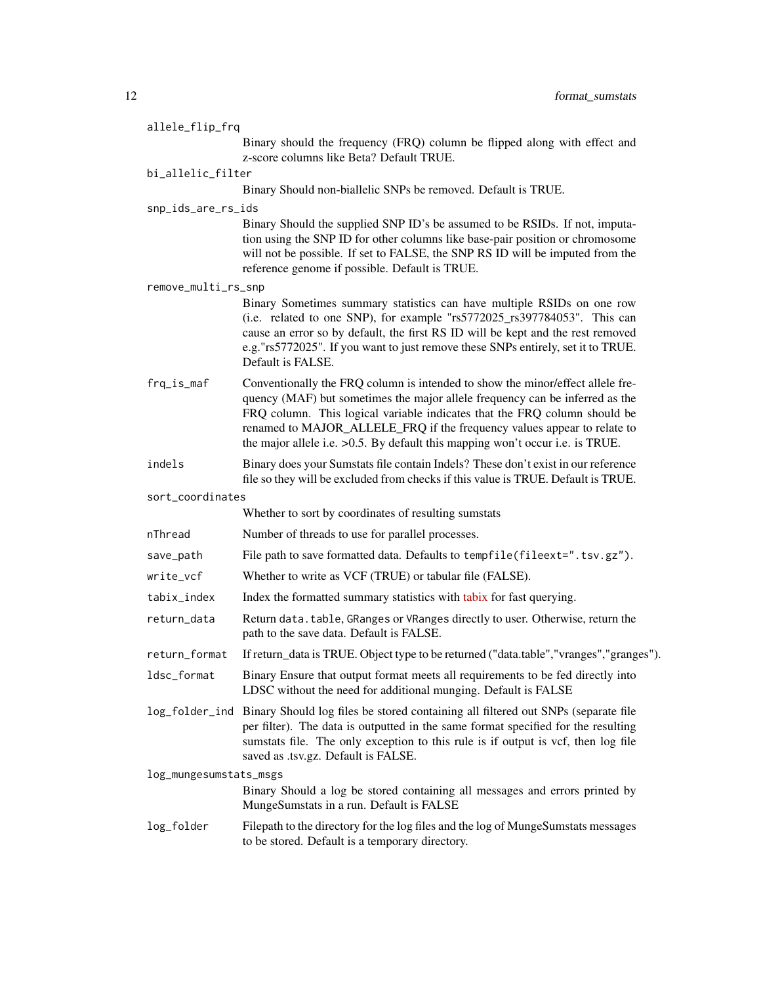| allele_flip_frq        |                                                                                                                                                                                                                                                                                                                                                                                                            |  |
|------------------------|------------------------------------------------------------------------------------------------------------------------------------------------------------------------------------------------------------------------------------------------------------------------------------------------------------------------------------------------------------------------------------------------------------|--|
|                        | Binary should the frequency (FRQ) column be flipped along with effect and<br>z-score columns like Beta? Default TRUE.                                                                                                                                                                                                                                                                                      |  |
| bi_allelic_filter      |                                                                                                                                                                                                                                                                                                                                                                                                            |  |
|                        | Binary Should non-biallelic SNPs be removed. Default is TRUE.                                                                                                                                                                                                                                                                                                                                              |  |
| snp_ids_are_rs_ids     |                                                                                                                                                                                                                                                                                                                                                                                                            |  |
|                        | Binary Should the supplied SNP ID's be assumed to be RSIDs. If not, imputa-<br>tion using the SNP ID for other columns like base-pair position or chromosome<br>will not be possible. If set to FALSE, the SNP RS ID will be imputed from the<br>reference genome if possible. Default is TRUE.                                                                                                            |  |
| remove_multi_rs_snp    |                                                                                                                                                                                                                                                                                                                                                                                                            |  |
|                        | Binary Sometimes summary statistics can have multiple RSIDs on one row<br>(i.e. related to one SNP), for example "rs5772025_rs397784053". This can<br>cause an error so by default, the first RS ID will be kept and the rest removed<br>e.g."rs5772025". If you want to just remove these SNPs entirely, set it to TRUE.<br>Default is FALSE.                                                             |  |
| frq_is_maf             | Conventionally the FRQ column is intended to show the minor/effect allele fre-<br>quency (MAF) but sometimes the major allele frequency can be inferred as the<br>FRQ column. This logical variable indicates that the FRQ column should be<br>renamed to MAJOR_ALLELE_FRQ if the frequency values appear to relate to<br>the major allele i.e. $>0.5$ . By default this mapping won't occur i.e. is TRUE. |  |
| indels                 | Binary does your Sumstats file contain Indels? These don't exist in our reference<br>file so they will be excluded from checks if this value is TRUE. Default is TRUE.                                                                                                                                                                                                                                     |  |
| sort_coordinates       |                                                                                                                                                                                                                                                                                                                                                                                                            |  |
|                        | Whether to sort by coordinates of resulting sumstats                                                                                                                                                                                                                                                                                                                                                       |  |
| nThread                | Number of threads to use for parallel processes.                                                                                                                                                                                                                                                                                                                                                           |  |
| save_path              | File path to save formatted data. Defaults to tempfile(fileext=".tsv.gz").                                                                                                                                                                                                                                                                                                                                 |  |
| write_vcf              | Whether to write as VCF (TRUE) or tabular file (FALSE).                                                                                                                                                                                                                                                                                                                                                    |  |
| tabix_index            | Index the formatted summary statistics with tabix for fast querying.                                                                                                                                                                                                                                                                                                                                       |  |
| return_data            | Return data. table, GRanges or VRanges directly to user. Otherwise, return the<br>path to the save data. Default is FALSE.                                                                                                                                                                                                                                                                                 |  |
| return_format          | If return_data is TRUE. Object type to be returned ("data.table","vranges","granges").                                                                                                                                                                                                                                                                                                                     |  |
| ldsc_format            | Binary Ensure that output format meets all requirements to be fed directly into<br>LDSC without the need for additional munging. Default is FALSE                                                                                                                                                                                                                                                          |  |
|                        | log_folder_ind Binary Should log files be stored containing all filtered out SNPs (separate file<br>per filter). The data is outputted in the same format specified for the resulting<br>sumstats file. The only exception to this rule is if output is vcf, then log file<br>saved as .tsv.gz. Default is FALSE.                                                                                          |  |
| log_mungesumstats_msgs |                                                                                                                                                                                                                                                                                                                                                                                                            |  |
|                        | Binary Should a log be stored containing all messages and errors printed by<br>MungeSumstats in a run. Default is FALSE                                                                                                                                                                                                                                                                                    |  |
| log_folder             | Filepath to the directory for the log files and the log of MungeSumstats messages<br>to be stored. Default is a temporary directory.                                                                                                                                                                                                                                                                       |  |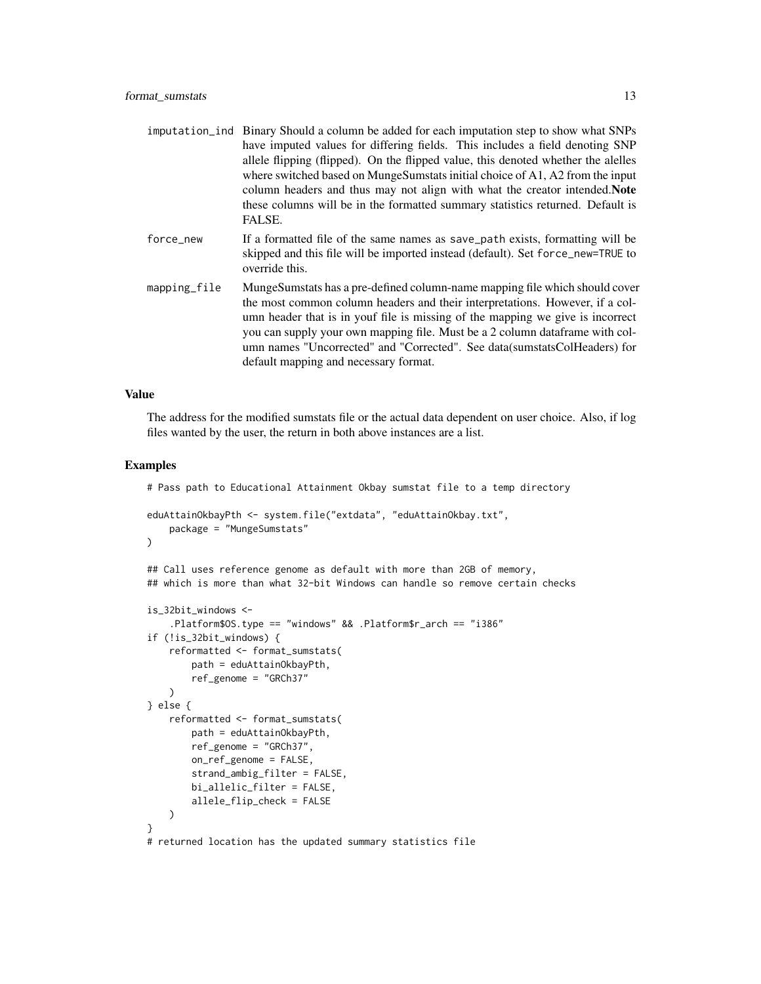|              | imputation_ind Binary Should a column be added for each imputation step to show what SNPs<br>have imputed values for differing fields. This includes a field denoting SNP<br>allele flipping (flipped). On the flipped value, this denoted whether the alelles<br>where switched based on MungeSumstats initial choice of A1, A2 from the input<br>column headers and thus may not align with what the creator intended. Note<br>these columns will be in the formatted summary statistics returned. Default is<br>FALSE. |
|--------------|---------------------------------------------------------------------------------------------------------------------------------------------------------------------------------------------------------------------------------------------------------------------------------------------------------------------------------------------------------------------------------------------------------------------------------------------------------------------------------------------------------------------------|
| force_new    | If a formatted file of the same names as save_path exists, formatting will be<br>skipped and this file will be imported instead (default). Set force_new=TRUE to<br>override this.                                                                                                                                                                                                                                                                                                                                        |
| mapping_file | MungeSumstats has a pre-defined column-name mapping file which should cover<br>the most common column headers and their interpretations. However, if a col-<br>umn header that is in youf file is missing of the mapping we give is incorrect<br>you can supply your own mapping file. Must be a 2 column data frame with col-<br>umn names "Uncorrected" and "Corrected". See data (sumstats ColHeaders) for<br>default mapping and necessary format.                                                                    |

#### Value

The address for the modified sumstats file or the actual data dependent on user choice. Also, if log files wanted by the user, the return in both above instances are a list.

```
# Pass path to Educational Attainment Okbay sumstat file to a temp directory
eduAttainOkbayPth <- system.file("extdata", "eduAttainOkbay.txt",
   package = "MungeSumstats"
)
## Call uses reference genome as default with more than 2GB of memory,
## which is more than what 32-bit Windows can handle so remove certain checks
is_32bit_windows <-
    .Platform$OS.type == "windows" && .Platform$r_arch == "i386"
if (!is_32bit_windows) {
    reformatted <- format_sumstats(
       path = eduAttainOkbayPth,
        ref_genome = "GRCh37"
   \lambda} else {
   reformatted <- format_sumstats(
       path = eduAttainOkbayPth,
       ref_genome = "GRCh37",
       on_ref_genome = FALSE,
        strand_ambig_filter = FALSE,
       bi_allelic_filter = FALSE,
        allele_flip_check = FALSE
   )
}
# returned location has the updated summary statistics file
```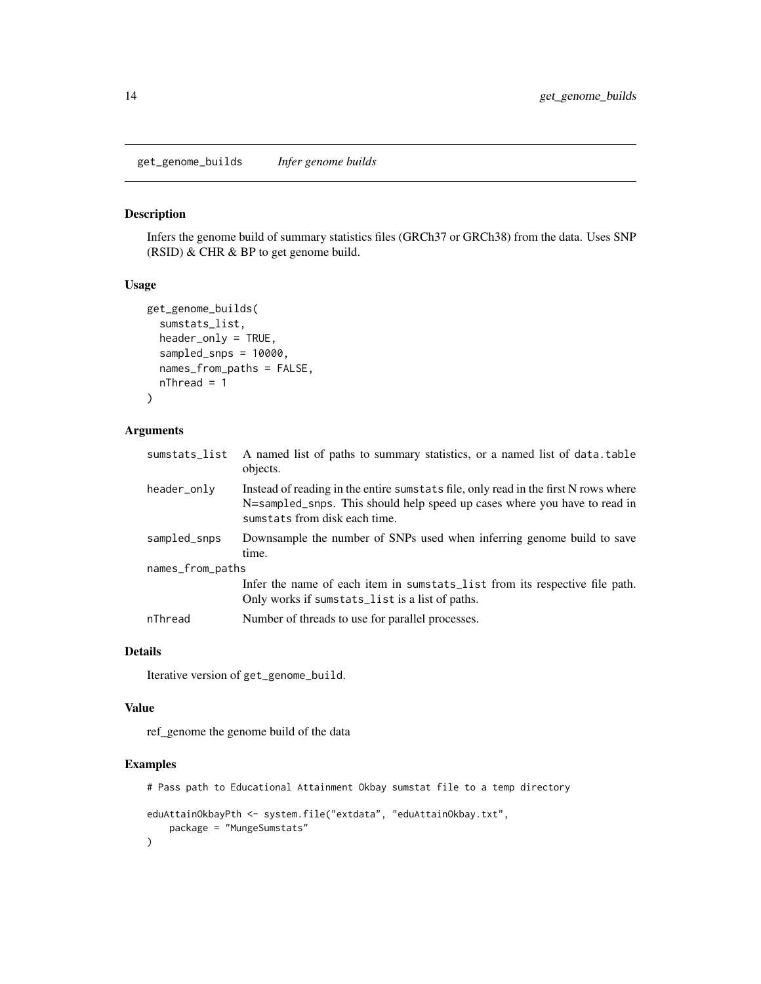<span id="page-13-0"></span>get\_genome\_builds *Infer genome builds*

## Description

Infers the genome build of summary statistics files (GRCh37 or GRCh38) from the data. Uses SNP (RSID) & CHR & BP to get genome build.

#### Usage

```
get_genome_builds(
  sumstats_list,
  header_only = TRUE,
  sampled_snps = 10000,
  names_from_paths = FALSE,
 nThread = 1)
```
## Arguments

| sumstats_list    | A named list of paths to summary statistics, or a named list of data.table<br>objects.                                                                                                            |
|------------------|---------------------------------------------------------------------------------------------------------------------------------------------------------------------------------------------------|
| header_only      | Instead of reading in the entire sumstats file, only read in the first N rows where<br>N=sampled_snps. This should help speed up cases where you have to read in<br>sumstats from disk each time. |
| sampled_snps     | Downsample the number of SNPs used when inferring genome build to save<br>time.                                                                                                                   |
| names_from_paths |                                                                                                                                                                                                   |
|                  | Infer the name of each item in sumstats_list from its respective file path.<br>Only works if sumstats_list is a list of paths.                                                                    |
| nThread          | Number of threads to use for parallel processes.                                                                                                                                                  |
|                  |                                                                                                                                                                                                   |

#### Details

Iterative version of get\_genome\_build.

#### Value

ref\_genome the genome build of the data

```
# Pass path to Educational Attainment Okbay sumstat file to a temp directory
eduAttainOkbayPth <- system.file("extdata", "eduAttainOkbay.txt",
   package = "MungeSumstats"
)
```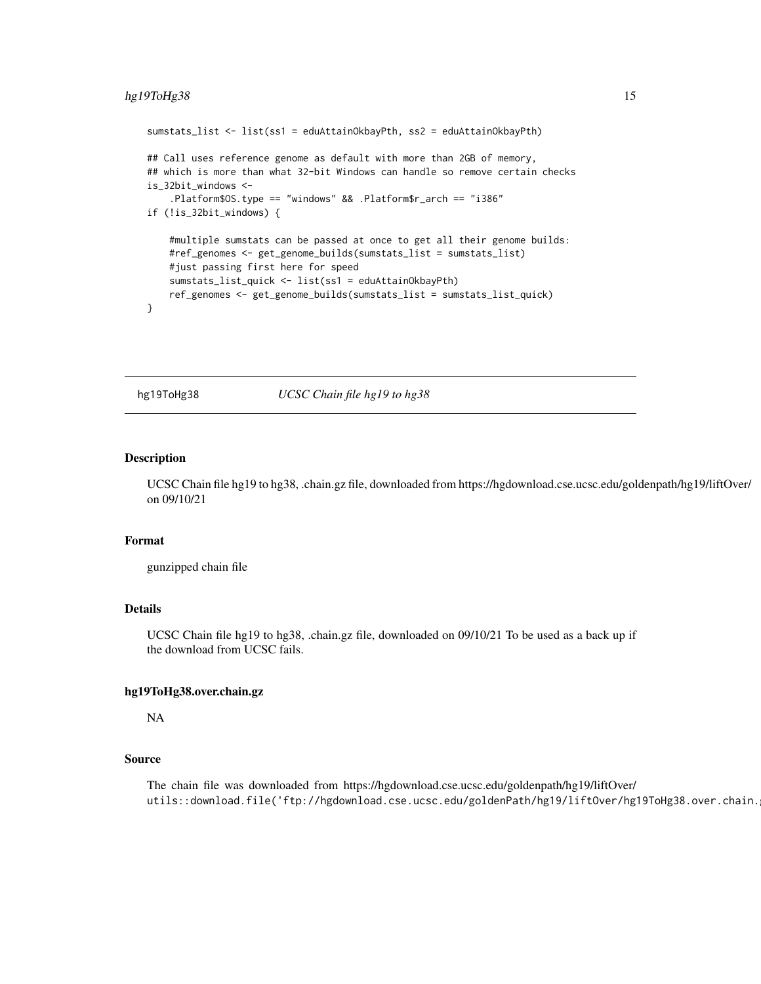## <span id="page-14-0"></span>hg19ToHg38 15

```
sumstats_list <- list(ss1 = eduAttainOkbayPth, ss2 = eduAttainOkbayPth)
## Call uses reference genome as default with more than 2GB of memory,
## which is more than what 32-bit Windows can handle so remove certain checks
is_32bit_windows <-
    .Platform$OS.type == "windows" && .Platform$r_arch == "i386"
if (!is_32bit_windows) {
    #multiple sumstats can be passed at once to get all their genome builds:
    #ref_genomes <- get_genome_builds(sumstats_list = sumstats_list)
    #just passing first here for speed
    sumstats_list_quick <- list(ss1 = eduAttainOkbayPth)
    ref_genomes <- get_genome_builds(sumstats_list = sumstats_list_quick)
}
```
hg19ToHg38 *UCSC Chain file hg19 to hg38*

## Description

UCSC Chain file hg19 to hg38, .chain.gz file, downloaded from https://hgdownload.cse.ucsc.edu/goldenpath/hg19/liftOver/ on 09/10/21

#### Format

gunzipped chain file

## Details

UCSC Chain file hg19 to hg38, .chain.gz file, downloaded on 09/10/21 To be used as a back up if the download from UCSC fails.

#### hg19ToHg38.over.chain.gz

NA

## Source

The chain file was downloaded from https://hgdownload.cse.ucsc.edu/goldenpath/hg19/liftOver/ utils::download.file('ftp://hgdownload.cse.ucsc.edu/goldenPath/hg19/liftOver/hg19ToHg38.over.chain.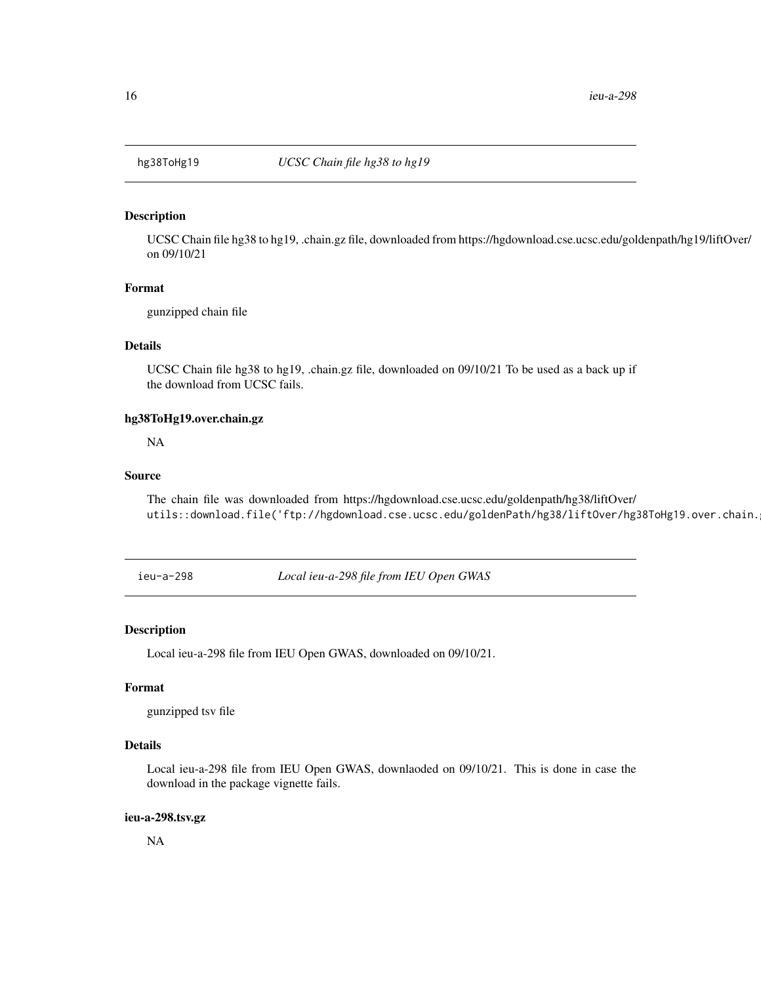<span id="page-15-0"></span>

#### Description

UCSC Chain file hg38 to hg19, .chain.gz file, downloaded from https://hgdownload.cse.ucsc.edu/goldenpath/hg19/liftOver/ on 09/10/21

## Format

gunzipped chain file

#### Details

UCSC Chain file hg38 to hg19, .chain.gz file, downloaded on 09/10/21 To be used as a back up if the download from UCSC fails.

## hg38ToHg19.over.chain.gz

NA

#### Source

The chain file was downloaded from https://hgdownload.cse.ucsc.edu/goldenpath/hg38/liftOver/ utils::download.file('ftp://hgdownload.cse.ucsc.edu/goldenPath/hg38/liftOver/hg38ToHg19.over.chain.

ieu-a-298 *Local ieu-a-298 file from IEU Open GWAS*

#### Description

Local ieu-a-298 file from IEU Open GWAS, downloaded on 09/10/21.

## Format

gunzipped tsv file

## Details

Local ieu-a-298 file from IEU Open GWAS, downlaoded on 09/10/21. This is done in case the download in the package vignette fails.

#### ieu-a-298.tsv.gz

NA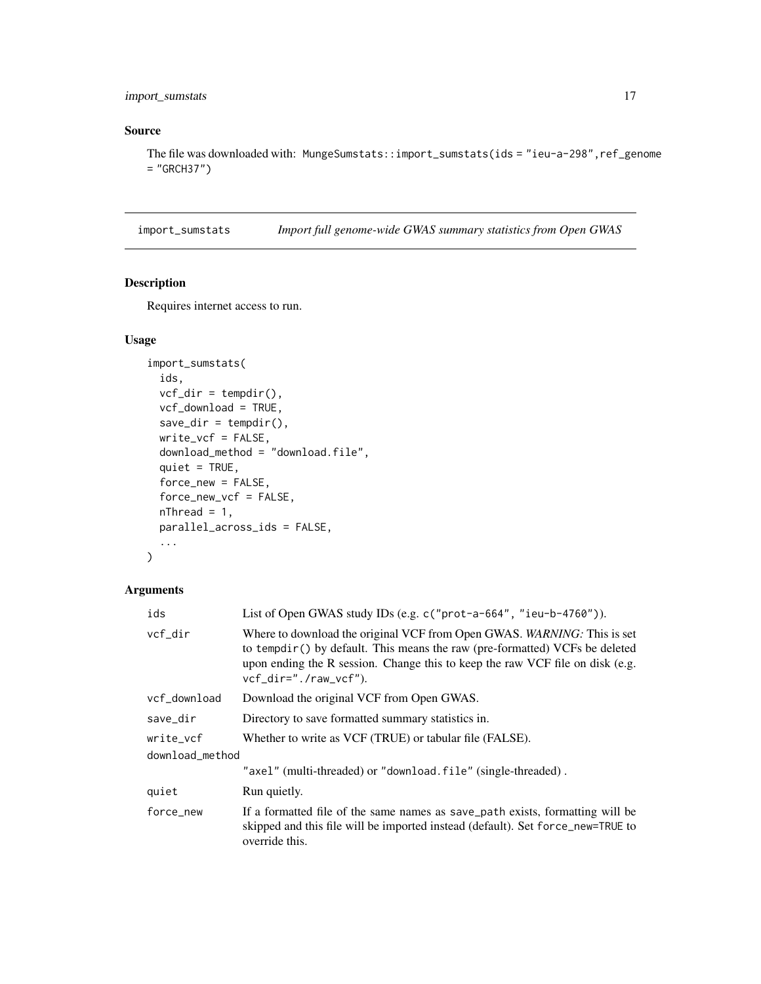## <span id="page-16-0"></span>import\_sumstats 17

## Source

The file was downloaded with: MungeSumstats::import\_sumstats(ids = "ieu-a-298", ref\_genome = "GRCH37")

<span id="page-16-1"></span>import\_sumstats *Import full genome-wide GWAS summary statistics from Open GWAS*

#### Description

Requires internet access to run.

## Usage

```
import_sumstats(
 ids,
 vcf\_dir = tempdir(),vcf_download = TRUE,
 save\_dir = tempdir(),write_vcf = FALSE,
 download_method = "download.file",
 quiet = TRUE,
  force_new = FALSE,
  force_new_vcf = FALSE,
 nThread = 1,
 parallel_across_ids = FALSE,
  ...
\mathcal{L}
```

| ids             | List of Open GWAS study IDs (e.g. $c$ ("prot-a-664", "ieu-b-4760")).                                                                                                                                                                                                       |  |
|-----------------|----------------------------------------------------------------------------------------------------------------------------------------------------------------------------------------------------------------------------------------------------------------------------|--|
| vcf_dir         | Where to download the original VCF from Open GWAS. <i>WARNING</i> : This is set<br>to tempdir() by default. This means the raw (pre-formatted) VCFs be deleted<br>upon ending the R session. Change this to keep the raw VCF file on disk (e.g.<br>$vcf_dir="./raw_vcf").$ |  |
| vcf_download    | Download the original VCF from Open GWAS.                                                                                                                                                                                                                                  |  |
| save_dir        | Directory to save formatted summary statistics in.                                                                                                                                                                                                                         |  |
| write vcf       | Whether to write as VCF (TRUE) or tabular file (FALSE).                                                                                                                                                                                                                    |  |
| download_method |                                                                                                                                                                                                                                                                            |  |
|                 | "axel" (multi-threaded) or "download.file" (single-threaded).                                                                                                                                                                                                              |  |
| quiet           | Run quietly.                                                                                                                                                                                                                                                               |  |
| force_new       | If a formatted file of the same names as save_path exists, formatting will be<br>skipped and this file will be imported instead (default). Set force_new=TRUE to<br>override this.                                                                                         |  |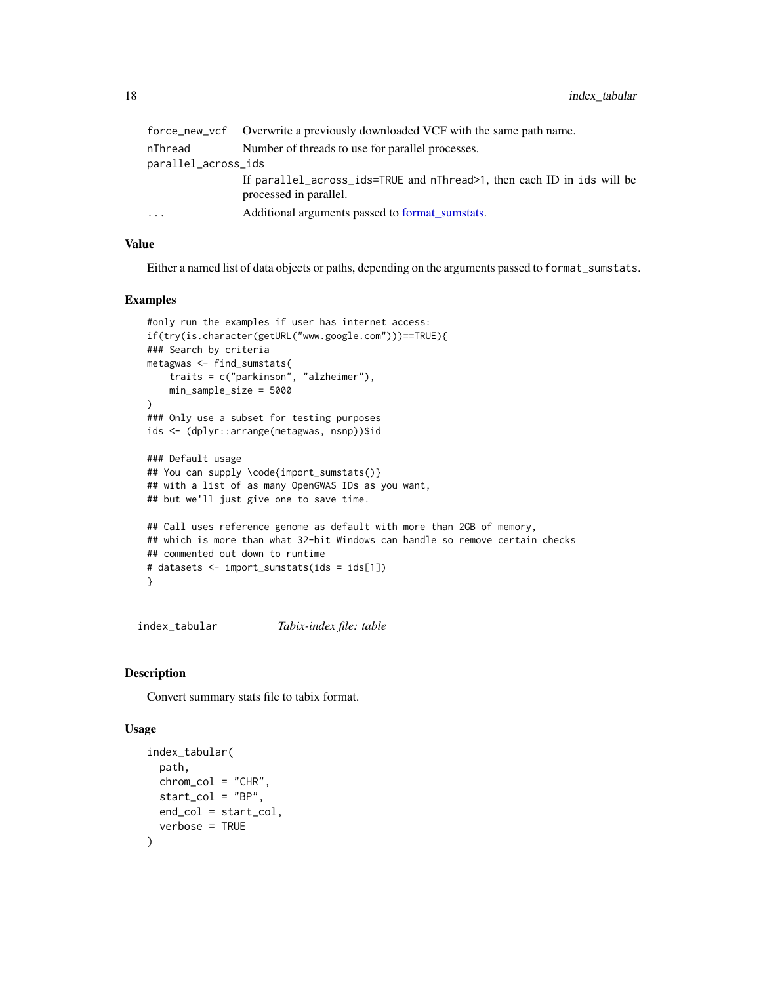<span id="page-17-0"></span>

|                     | force_new_vcf Overwrite a previously downloaded VCF with the same path name.                     |
|---------------------|--------------------------------------------------------------------------------------------------|
| nThread             | Number of threads to use for parallel processes.                                                 |
| parallel_across_ids |                                                                                                  |
|                     | If parallel_across_ids=TRUE and nThread>1, then each ID in ids will be<br>processed in parallel. |
| .                   | Additional arguments passed to format sumstats.                                                  |

#### Value

Either a named list of data objects or paths, depending on the arguments passed to format\_sumstats.

#### Examples

```
#only run the examples if user has internet access:
if(try(is.character(getURL("www.google.com")))==TRUE){
### Search by criteria
metagwas <- find_sumstats(
    traits = c("parkinson", "alzheimer"),
    min_sample_size = 5000
\lambda### Only use a subset for testing purposes
ids <- (dplyr::arrange(metagwas, nsnp))$id
### Default usage
## You can supply \code{import_sumstats()}
## with a list of as many OpenGWAS IDs as you want,
## but we'll just give one to save time.
## Call uses reference genome as default with more than 2GB of memory,
## which is more than what 32-bit Windows can handle so remove certain checks
## commented out down to runtime
# datasets <- import_sumstats(ids = ids[1])
}
```
index\_tabular *Tabix-index file: table*

#### Description

Convert summary stats file to tabix format.

```
index_tabular(
 path,
 chrom_col = "CHR",
  start\_col = "BP",end_col = start_col,
  verbose = TRUE
)
```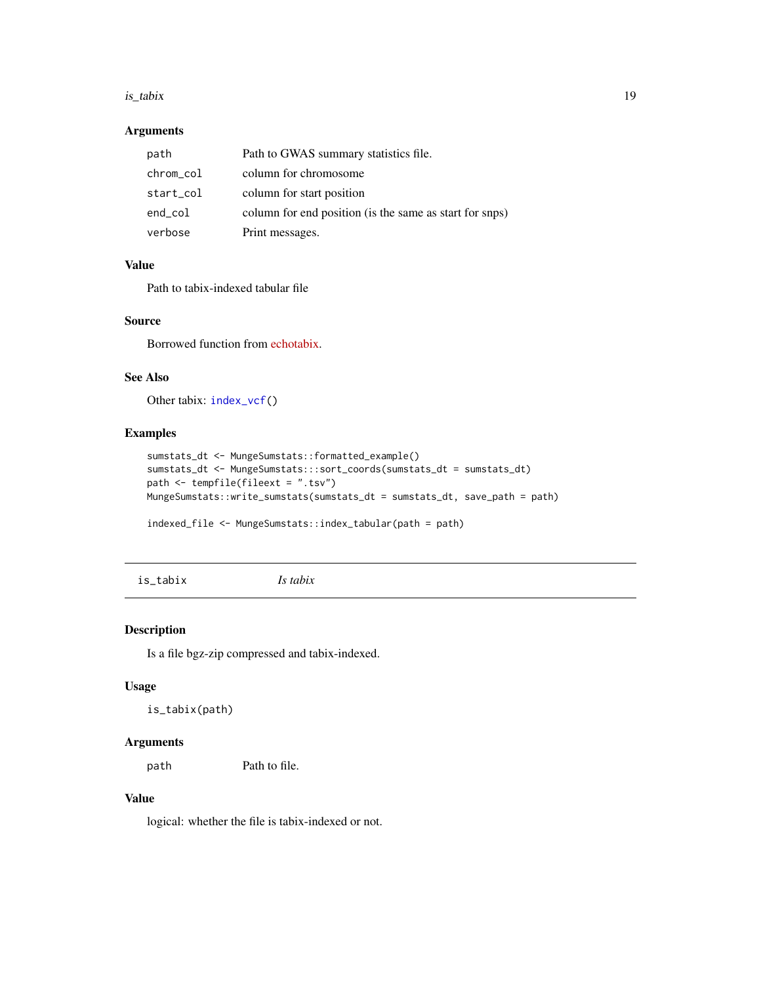#### <span id="page-18-0"></span>is\_tabix 19

## Arguments

| path      | Path to GWAS summary statistics file.                   |
|-----------|---------------------------------------------------------|
| chrom_col | column for chromosome                                   |
| start_col | column for start position                               |
| end_col   | column for end position (is the same as start for snps) |
| verbose   | Print messages.                                         |

#### Value

Path to tabix-indexed tabular file

## Source

Borrowed function from [echotabix.](https://github.com/RajLabMSSM/echotabix/blob/main/R/convert.R)

## See Also

Other tabix: [index\\_vcf\(](#page-0-0))

## Examples

```
sumstats_dt <- MungeSumstats::formatted_example()
sumstats_dt <- MungeSumstats:::sort_coords(sumstats_dt = sumstats_dt)
path <- tempfile(fileext = ".tsv")
MungeSumstats::write_sumstats(sumstats_dt = sumstats_dt, save_path = path)
```

```
indexed_file <- MungeSumstats::index_tabular(path = path)
```
is\_tabix *Is tabix*

#### Description

Is a file bgz-zip compressed and tabix-indexed.

## Usage

is\_tabix(path)

## Arguments

path Path to file.

## Value

logical: whether the file is tabix-indexed or not.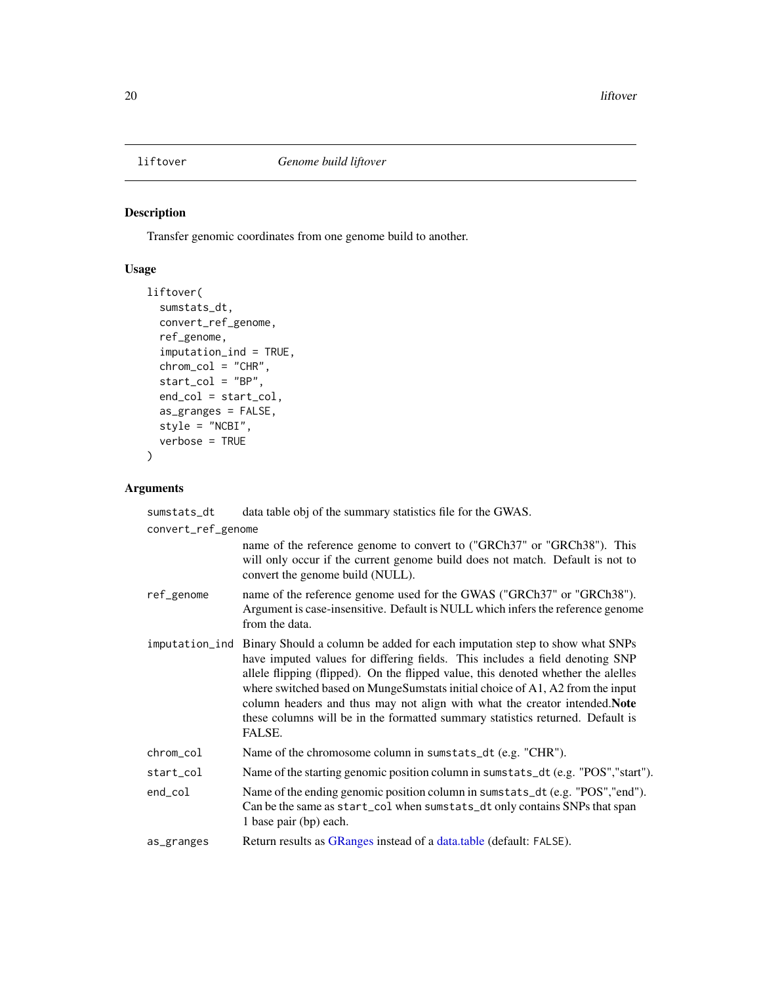<span id="page-19-0"></span>

## Description

Transfer genomic coordinates from one genome build to another.

## Usage

```
liftover(
  sumstats_dt,
  convert_ref_genome,
  ref_genome,
  imputation_ind = TRUE,
  chrom_col = "CHR",
  start_col = "BP",
  end_col = start_col,
  as_granges = FALSE,
  style = "NCBI",
  verbose = TRUE
)
```

| sumstats_dt        | data table obj of the summary statistics file for the GWAS.                                                                                                                                                                                                                                                                                                                                                                                                                                                               |  |
|--------------------|---------------------------------------------------------------------------------------------------------------------------------------------------------------------------------------------------------------------------------------------------------------------------------------------------------------------------------------------------------------------------------------------------------------------------------------------------------------------------------------------------------------------------|--|
| convert_ref_genome |                                                                                                                                                                                                                                                                                                                                                                                                                                                                                                                           |  |
|                    | name of the reference genome to convert to ("GRCh37" or "GRCh38"). This<br>will only occur if the current genome build does not match. Default is not to<br>convert the genome build (NULL).                                                                                                                                                                                                                                                                                                                              |  |
| ref_genome         | name of the reference genome used for the GWAS ("GRCh37" or "GRCh38").<br>Argument is case-insensitive. Default is NULL which infers the reference genome<br>from the data.                                                                                                                                                                                                                                                                                                                                               |  |
|                    | imputation_ind Binary Should a column be added for each imputation step to show what SNPs<br>have imputed values for differing fields. This includes a field denoting SNP<br>allele flipping (flipped). On the flipped value, this denoted whether the alelles<br>where switched based on MungeSumstats initial choice of A1, A2 from the input<br>column headers and thus may not align with what the creator intended. Note<br>these columns will be in the formatted summary statistics returned. Default is<br>FALSE. |  |
| chrom_col          | Name of the chromosome column in sumstats_dt (e.g. "CHR").                                                                                                                                                                                                                                                                                                                                                                                                                                                                |  |
| start_col          | Name of the starting genomic position column in sumstats_dt (e.g. "POS","start").                                                                                                                                                                                                                                                                                                                                                                                                                                         |  |
| end_col            | Name of the ending genomic position column in sumstats_dt (e.g. "POS", "end").<br>Can be the same as start_col when sumstats_dt only contains SNPs that span<br>1 base pair (bp) each.                                                                                                                                                                                                                                                                                                                                    |  |
| as_granges         | Return results as GRanges instead of a data.table (default: FALSE).                                                                                                                                                                                                                                                                                                                                                                                                                                                       |  |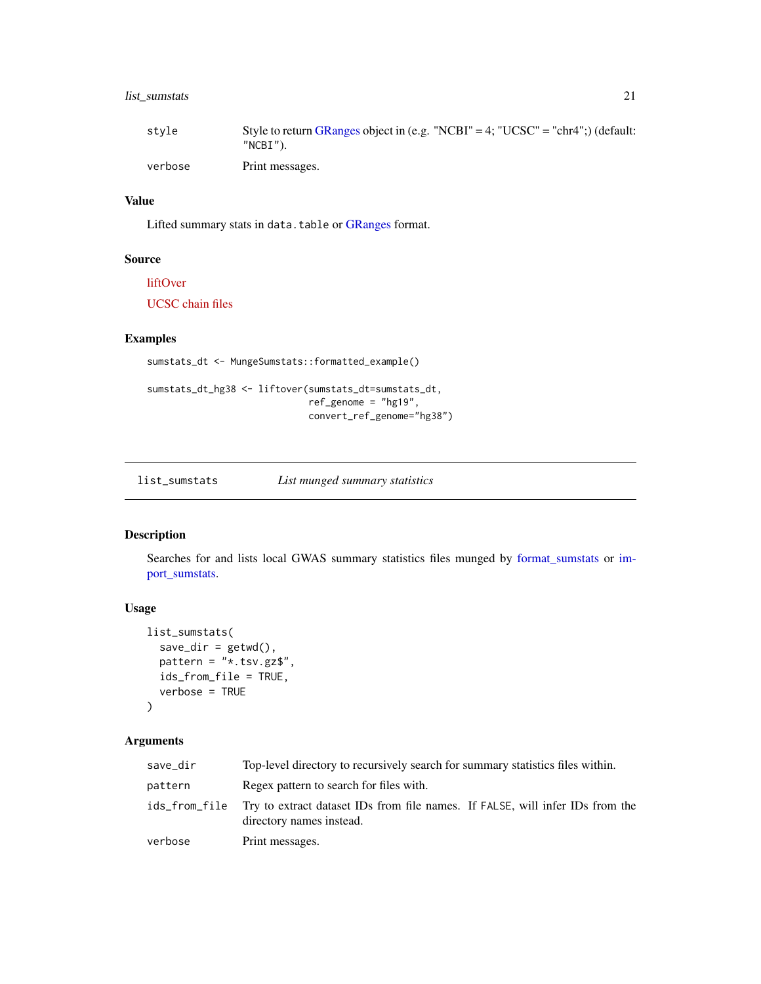## <span id="page-20-0"></span>list\_sumstats 21

| stvle   | Style to return GRanges object in (e.g. "NCBI" = 4; "UCSC" = "chr4";) (default:<br>"NCBI"). |
|---------|---------------------------------------------------------------------------------------------|
| verbose | Print messages.                                                                             |

#### Value

Lifted summary stats in data.table or [GRanges](#page-0-0) format.

## Source

[liftOver](https://doi.org/doi:10.18129/B9.bioc.liftOver) [UCSC chain files](https://hgdownload.cse.ucsc.edu/goldenpath/hg19/liftOver/)

## Examples

```
sumstats_dt <- MungeSumstats::formatted_example()
```

```
sumstats_dt_hg38 <- liftover(sumstats_dt=sumstats_dt,
                            ref_genome = "hg19",
                             convert_ref_genome="hg38")
```
list\_sumstats *List munged summary statistics*

#### Description

Searches for and lists local GWAS summary statistics files munged by [format\\_sumstats](#page-8-1) or [im](#page-16-1)[port\\_sumstats.](#page-16-1)

## Usage

```
list_sumstats(
  save\_dir = getwd(),
 pattern = "*.tsv.gz$",
  ids_from_file = TRUE,
 verbose = TRUE
)
```

| save_dir | Top-level directory to recursively search for summary statistics files within.                                          |  |
|----------|-------------------------------------------------------------------------------------------------------------------------|--|
| pattern  | Regex pattern to search for files with.                                                                                 |  |
|          | ids from file Try to extract dataset IDs from file names. If FALSE, will infer IDs from the<br>directory names instead. |  |
| verbose  | Print messages.                                                                                                         |  |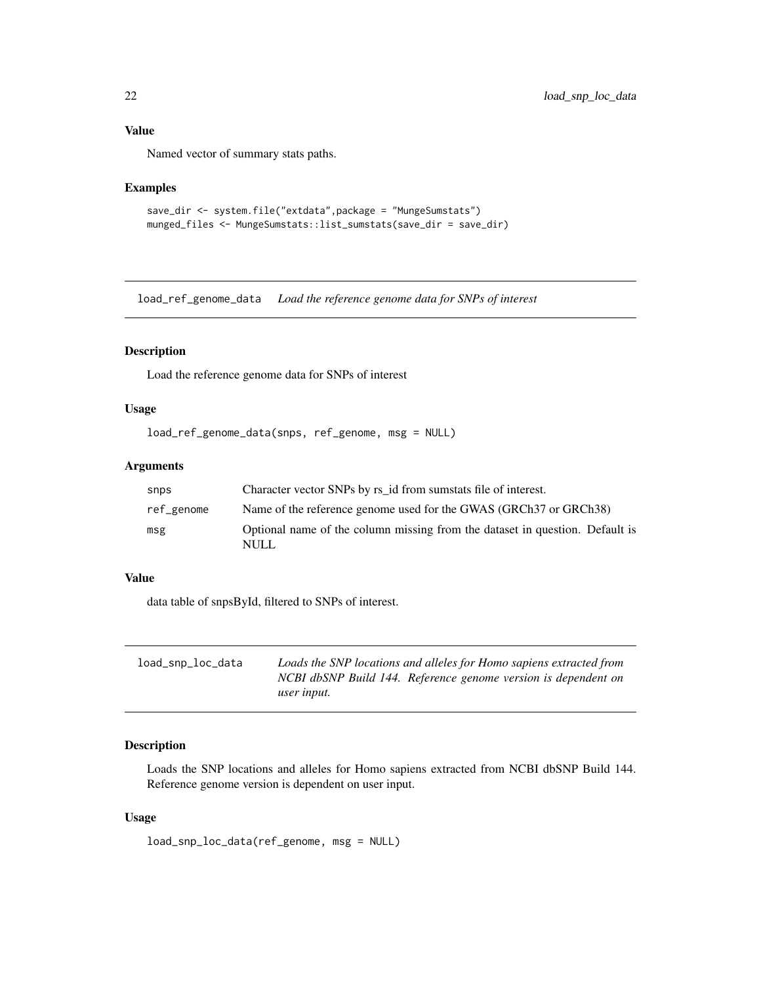## <span id="page-21-0"></span>Value

Named vector of summary stats paths.

## Examples

```
save_dir <- system.file("extdata",package = "MungeSumstats")
munged_files <- MungeSumstats::list_sumstats(save_dir = save_dir)
```
load\_ref\_genome\_data *Load the reference genome data for SNPs of interest*

## Description

Load the reference genome data for SNPs of interest

## Usage

```
load_ref_genome_data(snps, ref_genome, msg = NULL)
```
## Arguments

| snps       | Character vector SNPs by rs id from sumstats file of interest.                        |
|------------|---------------------------------------------------------------------------------------|
| ref_genome | Name of the reference genome used for the GWAS (GRCh37 or GRCh38)                     |
| msg        | Optional name of the column missing from the dataset in question. Default is<br>NULL. |

## Value

data table of snpsById, filtered to SNPs of interest.

| load_snp_loc_data | Loads the SNP locations and alleles for Homo sapiens extracted from |
|-------------------|---------------------------------------------------------------------|
|                   | NCBI dbSNP Build 144. Reference genome version is dependent on      |
|                   | user input.                                                         |

## Description

Loads the SNP locations and alleles for Homo sapiens extracted from NCBI dbSNP Build 144. Reference genome version is dependent on user input.

```
load_snp_loc_data(ref_genome, msg = NULL)
```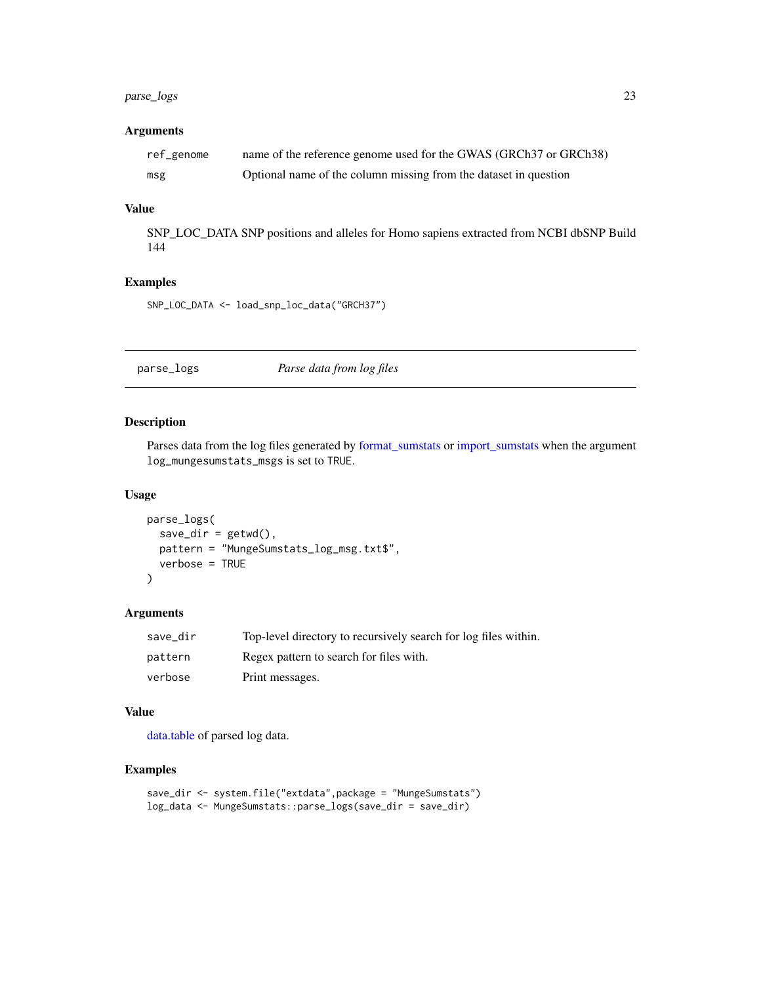## <span id="page-22-0"></span>parse\_logs 23

## Arguments

| ref_genome | name of the reference genome used for the GWAS (GRCh37 or GRCh38) |
|------------|-------------------------------------------------------------------|
| msg        | Optional name of the column missing from the dataset in question  |

#### Value

SNP\_LOC\_DATA SNP positions and alleles for Homo sapiens extracted from NCBI dbSNP Build 144

## Examples

SNP\_LOC\_DATA <- load\_snp\_loc\_data("GRCH37")

## parse\_logs *Parse data from log files*

#### Description

Parses data from the log files generated by [format\\_sumstats](#page-8-1) or [import\\_sumstats](#page-16-1) when the argument log\_mungesumstats\_msgs is set to TRUE.

#### Usage

```
parse_logs(
 save_dir = getwd(),
 pattern = "MungeSumstats_log_msg.txt$",
  verbose = TRUE
)
```
#### Arguments

| save dir | Top-level directory to recursively search for log files within. |
|----------|-----------------------------------------------------------------|
| pattern  | Regex pattern to search for files with.                         |
| verbose  | Print messages.                                                 |

#### Value

[data.table](#page-0-0) of parsed log data.

```
save_dir <- system.file("extdata",package = "MungeSumstats")
log_data <- MungeSumstats::parse_logs(save_dir = save_dir)
```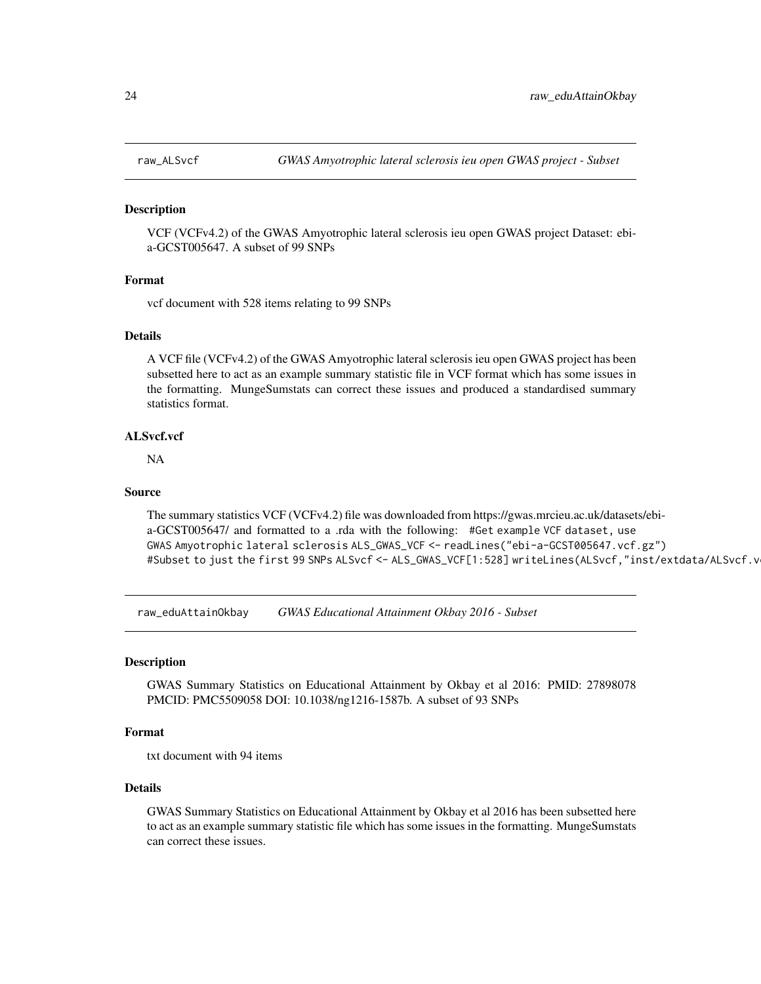<span id="page-23-0"></span>

#### Description

VCF (VCFv4.2) of the GWAS Amyotrophic lateral sclerosis ieu open GWAS project Dataset: ebia-GCST005647. A subset of 99 SNPs

## Format

vcf document with 528 items relating to 99 SNPs

#### Details

A VCF file (VCFv4.2) of the GWAS Amyotrophic lateral sclerosis ieu open GWAS project has been subsetted here to act as an example summary statistic file in VCF format which has some issues in the formatting. MungeSumstats can correct these issues and produced a standardised summary statistics format.

## ALSvcf.vcf

NA

#### Source

The summary statistics VCF (VCFv4.2) file was downloaded from https://gwas.mrcieu.ac.uk/datasets/ebia-GCST005647/ and formatted to a .rda with the following: #Get example VCF dataset, use GWAS Amyotrophic lateral sclerosis ALS\_GWAS\_VCF <- readLines("ebi-a-GCST005647.vcf.gz") #Subset to just the first 99 SNPs ALSvcf <- ALS\_GWAS\_VCF[1:528] writeLines(ALSvcf,"inst/extdata/ALSvcf.v

raw\_eduAttainOkbay *GWAS Educational Attainment Okbay 2016 - Subset*

#### Description

GWAS Summary Statistics on Educational Attainment by Okbay et al 2016: PMID: 27898078 PMCID: PMC5509058 DOI: 10.1038/ng1216-1587b. A subset of 93 SNPs

#### Format

txt document with 94 items

## Details

GWAS Summary Statistics on Educational Attainment by Okbay et al 2016 has been subsetted here to act as an example summary statistic file which has some issues in the formatting. MungeSumstats can correct these issues.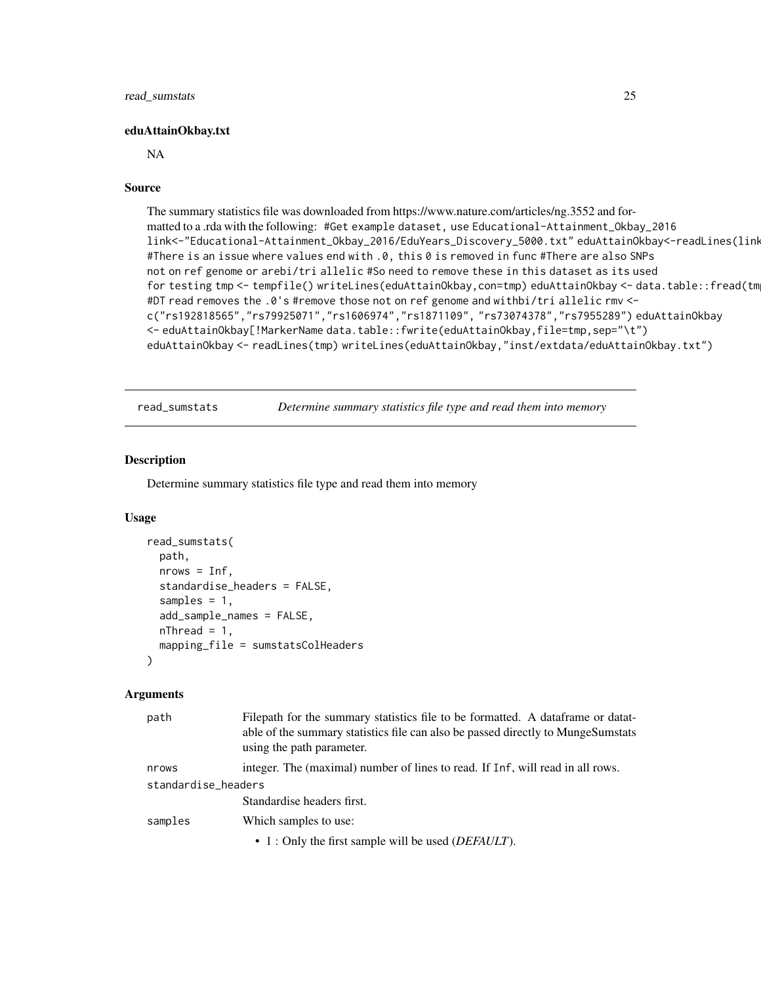#### <span id="page-24-0"></span>eduAttainOkbay.txt

#### NA

#### Source

The summary statistics file was downloaded from https://www.nature.com/articles/ng.3552 and formatted to a .rda with the following: #Get example dataset, use Educational-Attainment\_Okbay\_2016 link<-"Educational-Attainment\_Okbay\_2016/EduYears\_Discovery\_5000.txt" eduAttainOkbay<-readLines(link,n=100) #There is an issue where values end with .0, this 0 is removed in func #There are also SNPs not on ref genome or arebi/tri allelic #So need to remove these in this dataset as its used for testing tmp <- tempfile() writeLines(eduAttainOkbay,con=tmp) eduAttainOkbay <- data.table::fread(tmp) #DT read removes the .0's #remove those not on ref genome and withbi/tri allelic rmv < c("rs192818565","rs79925071","rs1606974","rs1871109", "rs73074378","rs7955289") eduAttainOkbay <- eduAttainOkbay[!MarkerName data.table::fwrite(eduAttainOkbay,file=tmp,sep="\t") eduAttainOkbay <- readLines(tmp) writeLines(eduAttainOkbay,"inst/extdata/eduAttainOkbay.txt")

read\_sumstats *Determine summary statistics file type and read them into memory*

#### Description

Determine summary statistics file type and read them into memory

#### Usage

```
read_sumstats(
  path,
  nrows = Inf,standardise_headers = FALSE,
  samples = 1,
  add_sample_names = FALSE,
 nThread = 1,
 mapping_file = sumstatsColHeaders
)
```

| path                | Filepath for the summary statistics file to be formatted. A dataframe or datat-<br>able of the summary statistics file can also be passed directly to MungeSumstats<br>using the path parameter. |  |
|---------------------|--------------------------------------------------------------------------------------------------------------------------------------------------------------------------------------------------|--|
| nrows               | integer. The (maximal) number of lines to read. If Inf, will read in all rows.                                                                                                                   |  |
| standardise_headers |                                                                                                                                                                                                  |  |
|                     | Standardise headers first.                                                                                                                                                                       |  |
| samples             | Which samples to use:                                                                                                                                                                            |  |
|                     | • 1 : Only the first sample will be used ( <i>DEFAULT</i> ).                                                                                                                                     |  |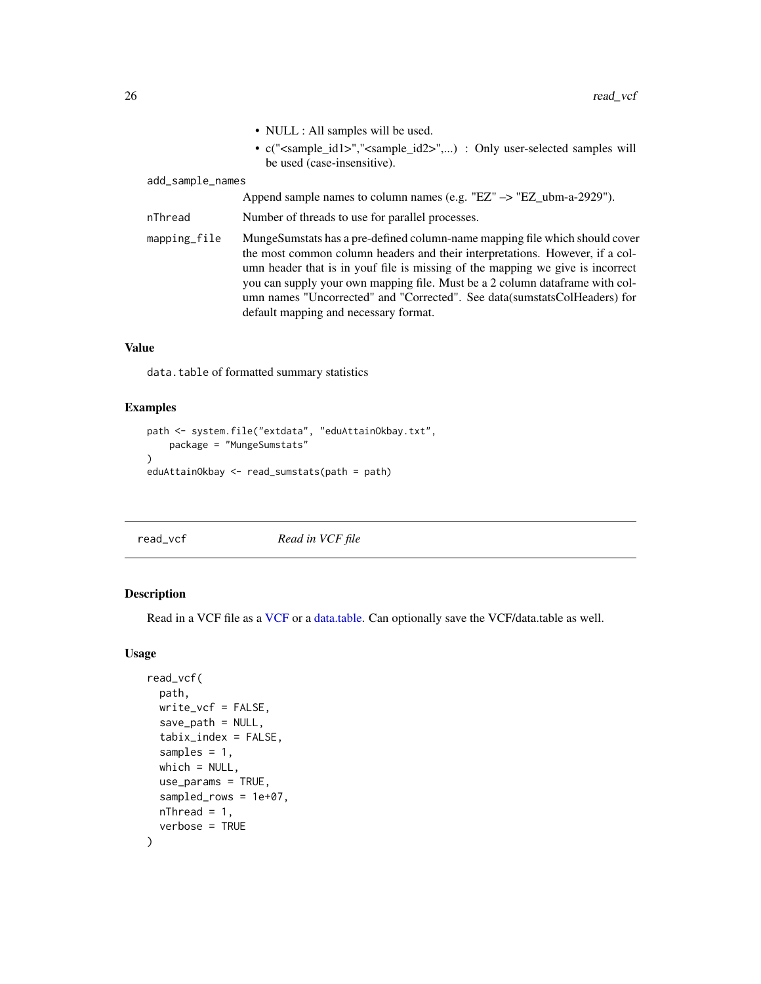<span id="page-25-0"></span>

|                  | • NULL : All samples will be used.                                                                                                                                                                                                                                                                                             |
|------------------|--------------------------------------------------------------------------------------------------------------------------------------------------------------------------------------------------------------------------------------------------------------------------------------------------------------------------------|
|                  | • c(" <sample_id1>","<sample_id2>",) : Only user-selected samples will<br/>be used (case-insensitive).</sample_id2></sample_id1>                                                                                                                                                                                               |
| add_sample_names |                                                                                                                                                                                                                                                                                                                                |
|                  | Append sample names to column names (e.g. "EZ" $\rightarrow$ "EZ_ubm-a-2929").                                                                                                                                                                                                                                                 |
| nThread          | Number of threads to use for parallel processes.                                                                                                                                                                                                                                                                               |
| mapping_file     | MungeSumstats has a pre-defined column-name mapping file which should cover<br>the most common column headers and their interpretations. However, if a col-<br>umn header that is in youf file is missing of the mapping we give is incorrect<br>you can supply your own mapping file. Must be a 2 column data frame with col- |

umn names "Uncorrected" and "Corrected". See data(sumstatsColHeaders) for

#### Value

data.table of formatted summary statistics

## Examples

```
path <- system.file("extdata", "eduAttainOkbay.txt",
   package = "MungeSumstats"
)
eduAttainOkbay <- read_sumstats(path = path)
```
<span id="page-25-1"></span>read\_vcf *Read in VCF file*

default mapping and necessary format.

## Description

Read in a VCF file as a [VCF](#page-0-0) or a [data.table.](#page-0-0) Can optionally save the VCF/data.table as well.

```
read_vcf(
 path,
 write_vcf = FALSE,
 save_path = NULL,
  tabix_index = FALSE,
  samples = 1,
 which = NULL,use_params = TRUE,
  sampled_rows = 1e+07,
 nThread = 1,
  verbose = TRUE
)
```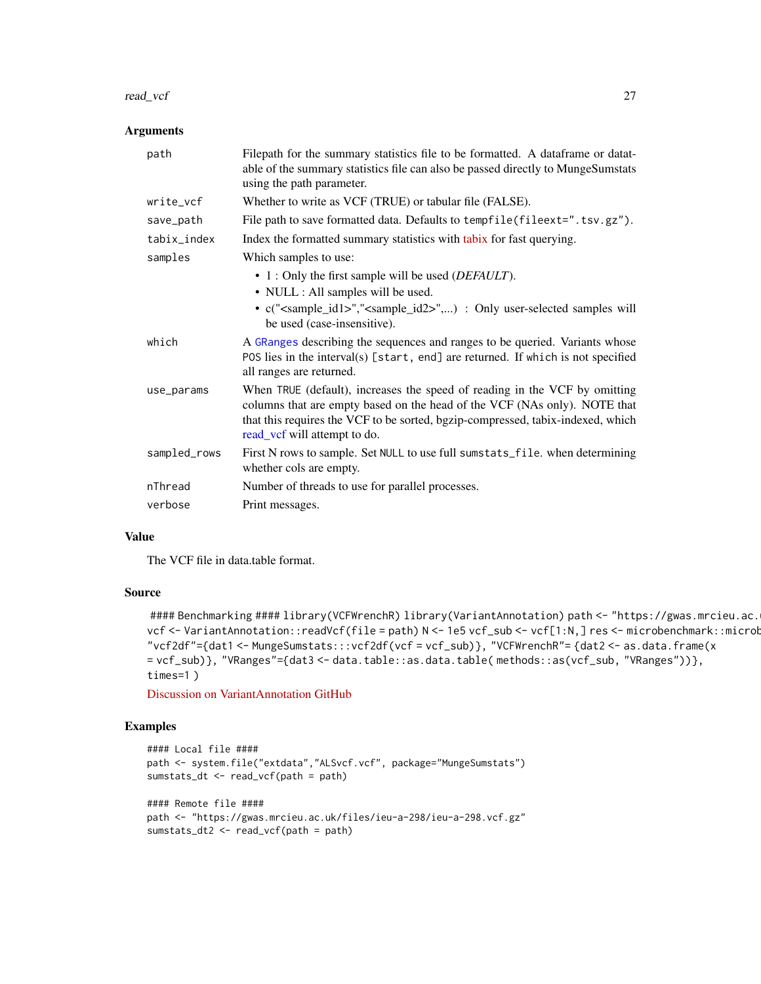#### <span id="page-26-0"></span>read\_vcf 27

#### Arguments

| path         | Filepath for the summary statistics file to be formatted. A dataframe or datat-<br>able of the summary statistics file can also be passed directly to MungeSumstats<br>using the path parameter.                                                                           |
|--------------|----------------------------------------------------------------------------------------------------------------------------------------------------------------------------------------------------------------------------------------------------------------------------|
| write_vcf    | Whether to write as VCF (TRUE) or tabular file (FALSE).                                                                                                                                                                                                                    |
| save_path    | File path to save formatted data. Defaults to tempfile(fileext=".tsv.gz").                                                                                                                                                                                                 |
| tabix_index  | Index the formatted summary statistics with tabix for fast querying.                                                                                                                                                                                                       |
| samples      | Which samples to use:                                                                                                                                                                                                                                                      |
|              | • 1 : Only the first sample will be used ( <i>DEFAULT</i> ).                                                                                                                                                                                                               |
|              | • NULL : All samples will be used.                                                                                                                                                                                                                                         |
|              | • c(" <sample_id1>","<sample_id2>",) : Only user-selected samples will<br/>be used (case-insensitive).</sample_id2></sample_id1>                                                                                                                                           |
| which        | A GRanges describing the sequences and ranges to be queried. Variants whose<br>POS lies in the interval(s) [start, end] are returned. If which is not specified<br>all ranges are returned.                                                                                |
| use_params   | When TRUE (default), increases the speed of reading in the VCF by omitting<br>columns that are empty based on the head of the VCF (NAs only). NOTE that<br>that this requires the VCF to be sorted, bgzip-compressed, tabix-indexed, which<br>read_vcf will attempt to do. |
| sampled_rows | First N rows to sample. Set NULL to use full sumstats_file. when determining<br>whether cols are empty.                                                                                                                                                                    |
| nThread      | Number of threads to use for parallel processes.                                                                                                                                                                                                                           |
| verbose      | Print messages.                                                                                                                                                                                                                                                            |

#### Value

The VCF file in data.table format.

#### Source

```
#### Benchmarking #### library(VCFWrenchR) library(VariantAnnotation) path <- "https://gwas.mrcieu.ac.
vcf <- VariantAnnotation::readVcf(file = path) N <- 1e5 vcf_sub <- vcf[1:N,] res <- microbenchmark::microb
"vcf2df"={dat1 <- MungeSumstats:::vcf2df(vcf = vcf_sub)}, "VCFWrenchR"= {dat2 <- as.data.frame(x
= vcf_sub)}, "VRanges"={dat3 <- data.table::as.data.table( methods::as(vcf_sub, "VRanges"))},
times=1 )
```
[Discussion on VariantAnnotation GitHub](https://github.com/Bioconductor/VariantAnnotation/issues/57)

```
#### Local file ####
path <- system.file("extdata","ALSvcf.vcf", package="MungeSumstats")
sumstats_dt <- read_vcf(path = path)
#### Remote file ####
path <- "https://gwas.mrcieu.ac.uk/files/ieu-a-298/ieu-a-298.vcf.gz"
sumstats_dt2 <- read_vcf(path = path)
```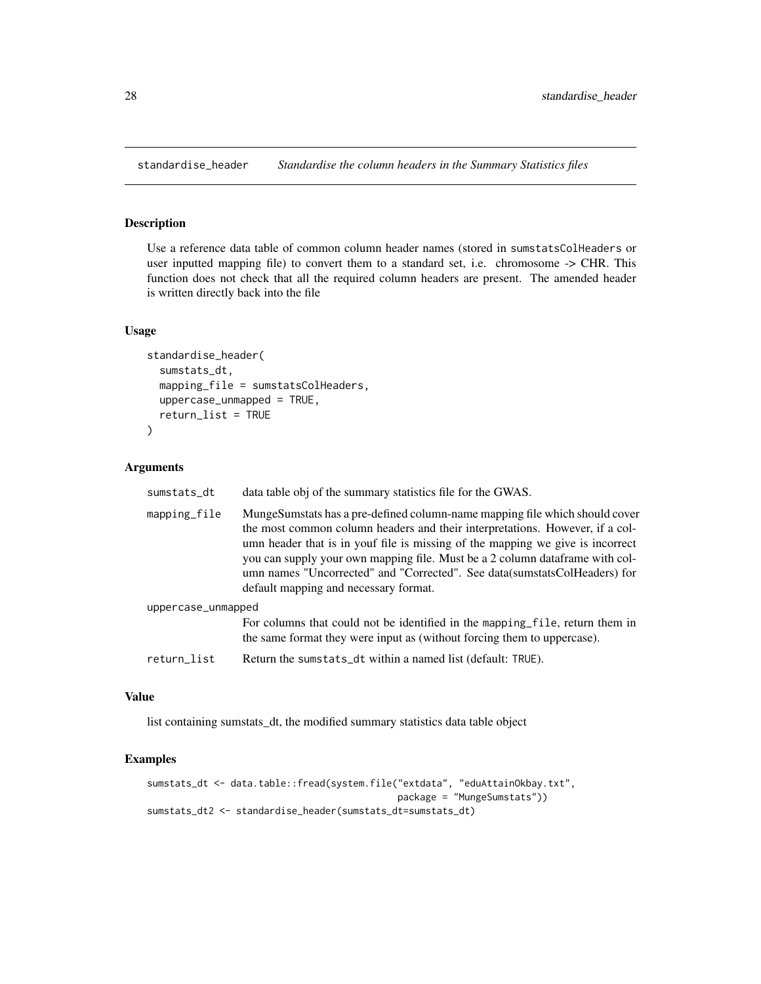<span id="page-27-1"></span><span id="page-27-0"></span>

## Description

Use a reference data table of common column header names (stored in sumstatsColHeaders or user inputted mapping file) to convert them to a standard set, i.e. chromosome -> CHR. This function does not check that all the required column headers are present. The amended header is written directly back into the file

#### Usage

```
standardise_header(
  sumstats_dt,
 mapping_file = sumstatsColHeaders,
  uppercase_unmapped = TRUE,
  return_list = TRUE
)
```
#### Arguments

| sumstats_dt        | data table obj of the summary statistics file for the GWAS.                                                                                                                                                                                                                                                                                                                                                                                            |
|--------------------|--------------------------------------------------------------------------------------------------------------------------------------------------------------------------------------------------------------------------------------------------------------------------------------------------------------------------------------------------------------------------------------------------------------------------------------------------------|
| mapping_file       | MungeSumstats has a pre-defined column-name mapping file which should cover<br>the most common column headers and their interpretations. However, if a col-<br>umn header that is in youf file is missing of the mapping we give is incorrect<br>you can supply your own mapping file. Must be a 2 column data frame with col-<br>umn names "Uncorrected" and "Corrected". See data (sumstats ColHeaders) for<br>default mapping and necessary format. |
| uppercase_unmapped |                                                                                                                                                                                                                                                                                                                                                                                                                                                        |
|                    | For columns that could not be identified in the mapping file, return them in<br>the same format they were input as (without forcing them to uppercase).                                                                                                                                                                                                                                                                                                |
| return_list        | Return the sumstats_dt within a named list (default: TRUE).                                                                                                                                                                                                                                                                                                                                                                                            |

## Value

list containing sumstats\_dt, the modified summary statistics data table object

```
sumstats_dt <- data.table::fread(system.file("extdata", "eduAttainOkbay.txt",
                                            package = "MungeSumstats"))
sumstats_dt2 <- standardise_header(sumstats_dt=sumstats_dt)
```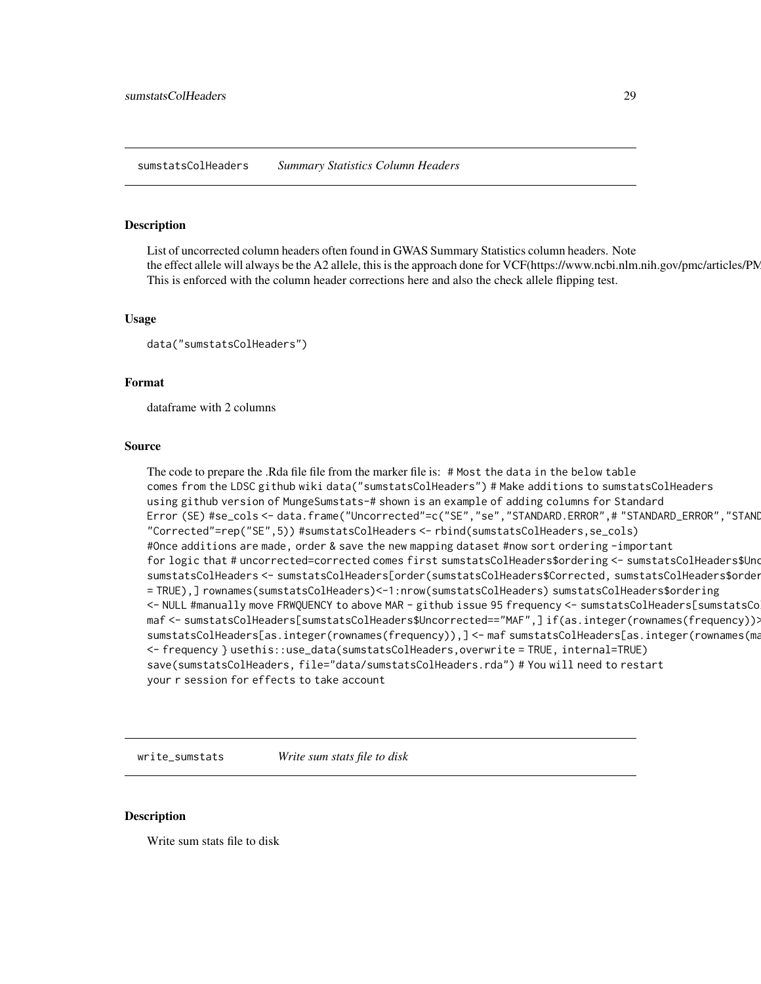<span id="page-28-0"></span>sumstatsColHeaders *Summary Statistics Column Headers*

#### Description

List of uncorrected column headers often found in GWAS Summary Statistics column headers. Note the effect allele will always be the A2 allele, this is the approach done for VCF(https://www.ncbi.nlm.nih.gov/pmc/articles/PM This is enforced with the column header corrections here and also the check allele flipping test.

#### Usage

```
data("sumstatsColHeaders")
```
#### Format

dataframe with 2 columns

#### Source

The code to prepare the .Rda file file from the marker file is: # Most the data in the below table comes from the LDSC github wiki data("sumstatsColHeaders") # Make additions to sumstatsColHeaders using github version of MungeSumstats-# shown is an example of adding columns for Standard Error (SE) #se\_cols <- data.frame("Uncorrected"=c("SE","se","STANDARD.ERROR",# "STANDARD\_ERROR","STANDARD-ERROR"),# "Corrected"=rep("SE",5)) #sumstatsColHeaders <- rbind(sumstatsColHeaders,se\_cols) #Once additions are made, order & save the new mapping dataset #now sort ordering -important for logic that # uncorrected=corrected comes first sumstatsColHeaders\$ordering <- sumstatsColHeaders\$Uno sumstatsColHeaders <- sumstatsColHeaders[order(sumstatsColHeaders\$Corrected, sumstatsColHeaders\$order = TRUE),] rownames(sumstatsColHeaders)<-1:nrow(sumstatsColHeaders) sumstatsColHeaders\$ordering <- NULL #manually move FRWQUENCY to above MAR - github issue 95 frequency <- sumstatsColHeaders[sumstatsCo maf <- sumstatsColHeaders[sumstatsColHeaders\$Uncorrected=="MAF",]if(as.integer(rownames(frequency)) sumstatsColHeaders[as.integer(rownames(frequency)),] <- maf sumstatsColHeaders[as.integer(rownames(ma <- frequency } usethis::use\_data(sumstatsColHeaders,overwrite = TRUE, internal=TRUE) save(sumstatsColHeaders, file="data/sumstatsColHeaders.rda") # You will need to restart your r session for effects to take account

write\_sumstats *Write sum stats file to disk*

#### Description

Write sum stats file to disk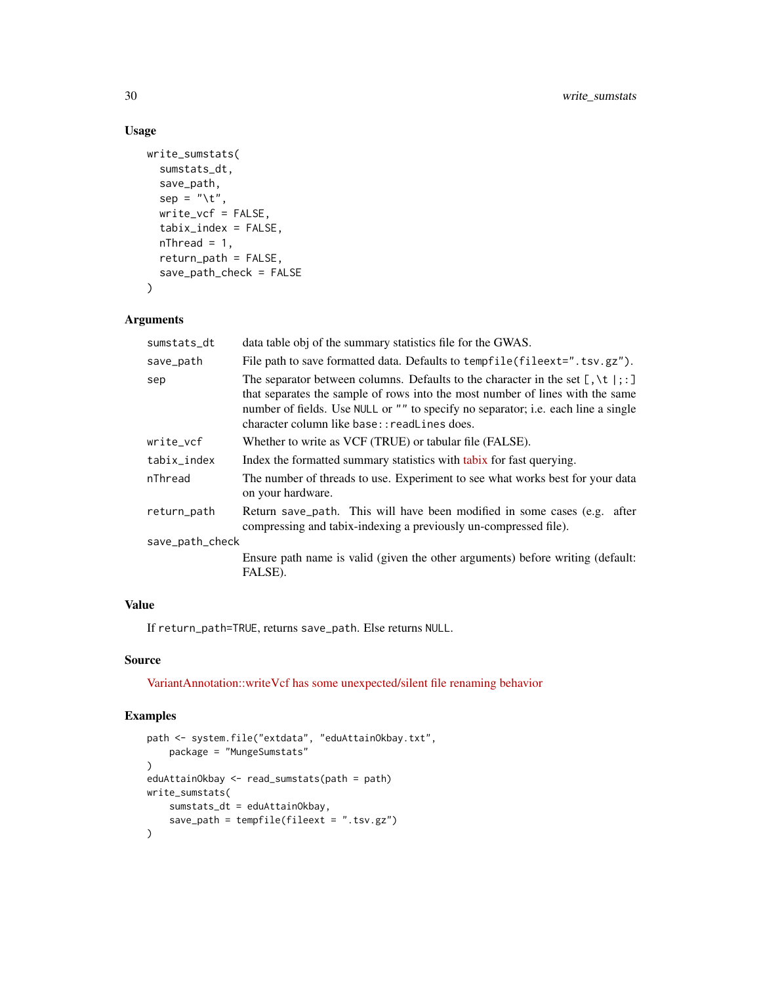## Usage

```
write_sumstats(
  sumstats_dt,
  save_path,
  sep = "\t",
 write_vcf = FALSE,
  tabix_index = FALSE,
 nThread = 1,
 return_path = FALSE,
 save_path_check = FALSE
\mathcal{L}
```
#### Arguments

| sumstats_dt     | data table obj of the summary statistics file for the GWAS.                                                                                                                                                                                                                                                      |
|-----------------|------------------------------------------------------------------------------------------------------------------------------------------------------------------------------------------------------------------------------------------------------------------------------------------------------------------|
| save_path       | File path to save formatted data. Defaults to tempfile (file ext=". tsv.gz").                                                                                                                                                                                                                                    |
| sep             | The separator between columns. Defaults to the character in the set $[, \setminus t  ; :]$<br>that separates the sample of rows into the most number of lines with the same<br>number of fields. Use NULL or "" to specify no separator; i.e. each line a single<br>character column like base:: readLines does. |
| write_vcf       | Whether to write as VCF (TRUE) or tabular file (FALSE).                                                                                                                                                                                                                                                          |
| tabix_index     | Index the formatted summary statistics with tabix for fast querying.                                                                                                                                                                                                                                             |
| nThread         | The number of threads to use. Experiment to see what works best for your data<br>on your hardware.                                                                                                                                                                                                               |
| return_path     | Return save_path. This will have been modified in some cases (e.g. after<br>compressing and tabix-indexing a previously un-compressed file).                                                                                                                                                                     |
| save_path_check |                                                                                                                                                                                                                                                                                                                  |
|                 | Ensure path name is valid (given the other arguments) before writing (default:<br>FALSE).                                                                                                                                                                                                                        |
|                 |                                                                                                                                                                                                                                                                                                                  |

## Value

If return\_path=TRUE, returns save\_path. Else returns NULL.

## Source

[VariantAnnotation::writeVcf has some unexpected/silent file renaming behavior](https://github.com/Bioconductor/VariantAnnotation/issues/35)

```
path <- system.file("extdata", "eduAttainOkbay.txt",
    package = "MungeSumstats"
\mathcal{L}eduAttainOkbay <- read_sumstats(path = path)
write_sumstats(
    sumstats_dt = eduAttainOkbay,
    save_path = tempfile(fileext = ".tsv.gz")
)
```